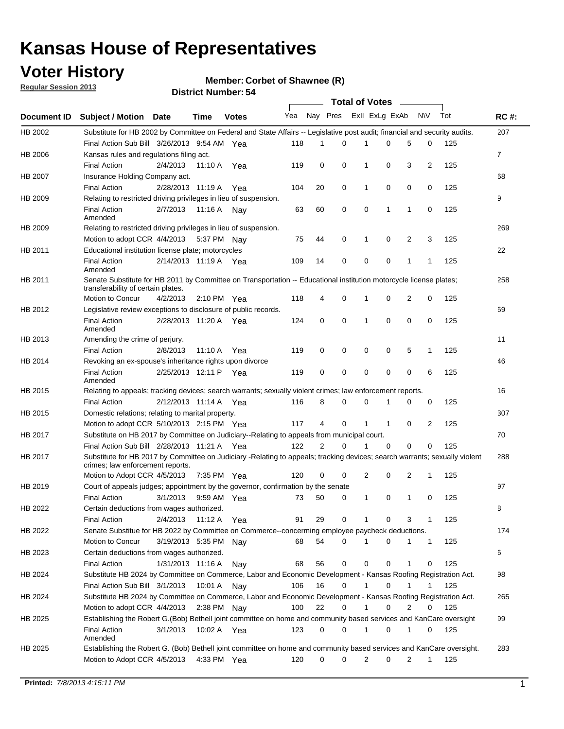## **Voter History**

**Member: Corbet of Shawnee (R)** 

**Regular Session 2013**

|                    |                                                                                                                                                                |                       | יט וסמוווטנו ועווווטכו |              |              |    | Total of Votes _____ |                |              |                |              |     |                |
|--------------------|----------------------------------------------------------------------------------------------------------------------------------------------------------------|-----------------------|------------------------|--------------|--------------|----|----------------------|----------------|--------------|----------------|--------------|-----|----------------|
| <b>Document ID</b> | <b>Subject / Motion Date</b>                                                                                                                                   |                       | Time                   | <b>Votes</b> | Yea Nay Pres |    |                      | Exll ExLg ExAb |              |                | <b>NV</b>    | Tot | <b>RC#:</b>    |
| HB 2002            | Substitute for HB 2002 by Committee on Federal and State Affairs -- Legislative post audit; financial and security audits.                                     |                       |                        |              |              |    |                      |                |              |                |              |     | 207            |
|                    | Final Action Sub Bill 3/26/2013 9:54 AM Yea                                                                                                                    |                       |                        |              | 118          | 1  | $\Omega$             |                | 0            | 5              | 0            | 125 |                |
| HB 2006            | Kansas rules and regulations filing act.                                                                                                                       |                       |                        |              |              |    |                      |                |              |                |              |     | $\overline{7}$ |
|                    | <b>Final Action</b>                                                                                                                                            | 2/4/2013              | 11:10 A Yea            |              | 119          | 0  | 0                    | 1              | 0            | 3              | 2            | 125 |                |
| HB 2007            | Insurance Holding Company act.                                                                                                                                 |                       |                        |              |              |    |                      |                |              |                |              |     | 68             |
|                    | <b>Final Action</b>                                                                                                                                            | 2/28/2013 11:19 A     |                        | Yea          | 104          | 20 | 0                    | 1              | 0            | 0              | 0            | 125 |                |
| HB 2009            | Relating to restricted driving privileges in lieu of suspension.                                                                                               |                       |                        |              |              |    |                      |                |              |                |              |     | 9              |
|                    | <b>Final Action</b><br>Amended                                                                                                                                 | 2/7/2013              | 11:16 A Nay            |              | 63           | 60 | 0                    | 0              | 1            | 1              | 0            | 125 |                |
| HB 2009            | Relating to restricted driving privileges in lieu of suspension.                                                                                               |                       |                        |              |              |    |                      |                |              |                |              |     | 269            |
|                    | Motion to adopt CCR 4/4/2013                                                                                                                                   |                       | 5:37 PM Nay            |              | 75           | 44 | 0                    | 1              | 0            | 2              | 3            | 125 |                |
| HB 2011            | Educational institution license plate; motorcycles                                                                                                             |                       |                        |              |              |    |                      |                |              |                |              |     | 22             |
|                    | <b>Final Action</b><br>Amended                                                                                                                                 | 2/14/2013 11:19 A Yea |                        |              | 109          | 14 | 0                    | 0              | 0            | 1              | 1            | 125 |                |
| HB 2011            | Senate Substitute for HB 2011 by Committee on Transportation -- Educational institution motorcycle license plates;                                             |                       |                        |              |              |    |                      |                |              |                |              |     | 258            |
|                    | transferability of certain plates.<br>Motion to Concur                                                                                                         |                       | $2:10 \text{ PM}$ Yea  |              | 118          | 4  | 0                    | $\mathbf 1$    | 0            | $\overline{2}$ | 0            | 125 |                |
|                    |                                                                                                                                                                | 4/2/2013              |                        |              |              |    |                      |                |              |                |              |     |                |
| HB 2012            | Legislative review exceptions to disclosure of public records.                                                                                                 |                       |                        |              |              |    |                      |                |              |                |              |     | 69             |
|                    | <b>Final Action</b><br>Amended                                                                                                                                 | 2/28/2013 11:20 A Yea |                        |              | 124          | 0  | 0                    | 1              | 0            | 0              | 0            | 125 |                |
| HB 2013            | Amending the crime of perjury.                                                                                                                                 |                       |                        |              |              |    |                      |                |              |                |              |     | 11             |
|                    | <b>Final Action</b>                                                                                                                                            | 2/8/2013              | 11:10 A                | Yea          | 119          | 0  | 0                    | 0              | 0            | 5              | 1            | 125 |                |
| HB 2014            | Revoking an ex-spouse's inheritance rights upon divorce                                                                                                        |                       |                        |              |              |    |                      |                |              |                |              |     | 46             |
|                    | <b>Final Action</b>                                                                                                                                            | 2/25/2013 12:11 P     |                        | Yea          | 119          | 0  | $\mathbf 0$          | 0              | 0            | 0              | 6            | 125 |                |
|                    | Amended                                                                                                                                                        |                       |                        |              |              |    |                      |                |              |                |              |     |                |
| HB 2015            | Relating to appeals; tracking devices; search warrants; sexually violent crimes; law enforcement reports.                                                      |                       |                        |              |              |    |                      |                |              |                |              |     | 16             |
|                    | <b>Final Action</b>                                                                                                                                            | 2/12/2013 11:14 A     |                        | Yea          | 116          | 8  | 0                    | 0              | 1            | 0              | 0            | 125 |                |
| HB 2015            | Domestic relations; relating to marital property.                                                                                                              |                       |                        |              |              |    |                      |                |              |                |              |     | 307            |
|                    | Motion to adopt CCR 5/10/2013 2:15 PM Yea                                                                                                                      |                       |                        |              | 117          | 4  | 0                    | $\mathbf{1}$   | $\mathbf{1}$ | 0              | 2            | 125 |                |
| HB 2017            | Substitute on HB 2017 by Committee on Judiciary--Relating to appeals from municipal court.                                                                     |                       |                        |              |              |    |                      |                |              |                |              |     | 70             |
|                    | Final Action Sub Bill 2/28/2013 11:21 A Yea                                                                                                                    |                       |                        |              | 122          | 2  | 0                    | 1              | 0            | 0              | 0            | 125 |                |
| HB 2017            | Substitute for HB 2017 by Committee on Judiciary -Relating to appeals; tracking devices; search warrants; sexually violent<br>crimes; law enforcement reports. |                       |                        |              |              |    |                      |                |              |                |              |     | 288            |
|                    | Motion to Adopt CCR 4/5/2013                                                                                                                                   |                       | 7:35 PM Yea            |              | 120          | 0  | 0                    | 2              | 0            | 2              | 1            | 125 |                |
| HB 2019            | Court of appeals judges; appointment by the governor, confirmation by the senate                                                                               |                       |                        |              |              |    |                      |                |              |                |              |     | 97             |
|                    | Final Action                                                                                                                                                   | 3/1/2013              | 9:59 AM Yea            |              | 73           | 50 | 0                    | 1              | 0            | 1              | 0            | 125 |                |
| HB 2022            | Certain deductions from wages authorized.                                                                                                                      |                       |                        |              |              |    |                      |                |              |                |              |     | 8              |
|                    | <b>Final Action</b>                                                                                                                                            | 2/4/2013              | 11:12 A                | Yea          | 91           | 29 | 0                    |                | 0            | 3              | 1            | 125 |                |
| HB 2022            | Senate Substitue for HB 2022 by Committee on Commerce--concerming employee paycheck deductions.                                                                |                       |                        |              |              |    |                      |                |              |                |              |     | 174            |
|                    | Motion to Concur                                                                                                                                               | 3/19/2013 5:35 PM Nay |                        |              | 68           | 54 | 0                    | 1              | 0            | 1              | $\mathbf{1}$ | 125 |                |
| HB 2023            | Certain deductions from wages authorized.                                                                                                                      |                       |                        |              |              |    |                      |                |              |                |              |     | 6              |
|                    | <b>Final Action</b>                                                                                                                                            | 1/31/2013 11:16 A     |                        | Nay          | 68           | 56 | 0                    | 0              | 0            | 1              | 0            | 125 |                |
| HB 2024            | Substitute HB 2024 by Committee on Commerce, Labor and Economic Development - Kansas Roofing Registration Act.                                                 |                       |                        |              |              |    |                      |                |              |                |              |     | 98             |
|                    | Final Action Sub Bill 3/1/2013                                                                                                                                 |                       | 10:01 A                | Nav          | 106          | 16 | 0                    | 1              | 0            | 1              | 1            | 125 |                |
| HB 2024            | Substitute HB 2024 by Committee on Commerce, Labor and Economic Development - Kansas Roofing Registration Act.                                                 |                       |                        |              |              |    |                      |                |              |                |              |     | 265            |
|                    | Motion to adopt CCR 4/4/2013                                                                                                                                   |                       | 2:38 PM                | Nav          | 100          | 22 | 0                    | 1              | 0            | 2              | 0            | 125 |                |
| HB 2025            | Establishing the Robert G.(Bob) Bethell joint committee on home and community based services and KanCare oversight                                             |                       |                        |              |              |    |                      |                |              |                |              |     | 99             |
|                    | <b>Final Action</b><br>Amended                                                                                                                                 | 3/1/2013              | 10:02 A Yea            |              | 123          | 0  | 0                    | $\mathbf{1}$   | 0            | 1              | 0            | 125 |                |
| HB 2025            | Establishing the Robert G. (Bob) Bethell joint committee on home and community based services and KanCare oversight.                                           |                       |                        |              |              |    |                      |                |              |                |              |     | 283            |
|                    | Motion to Adopt CCR 4/5/2013                                                                                                                                   |                       | 4:33 PM Yea            |              | 120          | 0  | 0                    | 2              | 0            | 2              | $\mathbf{1}$ | 125 |                |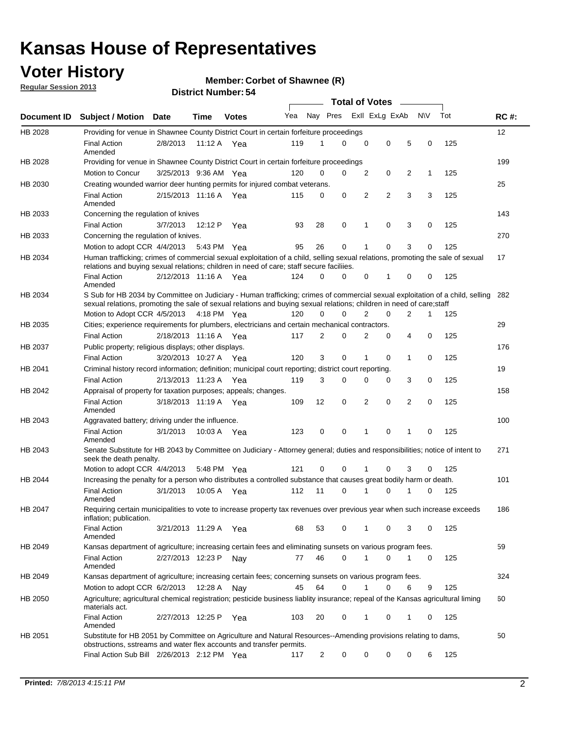## **Voter History**

**Member: Corbet of Shawnee (R)** 

**Regular Session 2013**

|             |                                                                                                                                                                                                                                                           |                       |         |              |     |          |             | <b>Total of Votes</b> |          |                |              |     |             |
|-------------|-----------------------------------------------------------------------------------------------------------------------------------------------------------------------------------------------------------------------------------------------------------|-----------------------|---------|--------------|-----|----------|-------------|-----------------------|----------|----------------|--------------|-----|-------------|
| Document ID | Subject / Motion Date                                                                                                                                                                                                                                     |                       | Time    | <b>Votes</b> | Yea | Nay Pres |             | Exll ExLg ExAb        |          |                | <b>NV</b>    | Tot | <b>RC#:</b> |
| HB 2028     | Providing for venue in Shawnee County District Court in certain forfeiture proceedings                                                                                                                                                                    |                       |         |              |     |          |             |                       |          |                |              |     | 12          |
|             | <b>Final Action</b><br>Amended                                                                                                                                                                                                                            | 2/8/2013              |         | 11:12 A Yea  | 119 | 1        | 0           | 0                     | 0        | 5              | 0            | 125 |             |
| HB 2028     | Providing for venue in Shawnee County District Court in certain forfeiture proceedings                                                                                                                                                                    |                       |         |              |     |          |             |                       |          |                |              |     | 199         |
|             | Motion to Concur                                                                                                                                                                                                                                          | 3/25/2013 9:36 AM Yea |         |              | 120 | 0        | 0           | 2                     | 0        | 2              | $\mathbf{1}$ | 125 |             |
| HB 2030     | Creating wounded warrior deer hunting permits for injured combat veterans.                                                                                                                                                                                |                       |         |              |     |          |             |                       |          |                |              |     | 25          |
|             | <b>Final Action</b><br>Amended                                                                                                                                                                                                                            | 2/15/2013 11:16 A Yea |         |              | 115 | 0        | 0           | 2                     | 2        | 3              | 3            | 125 |             |
| HB 2033     | Concerning the regulation of knives                                                                                                                                                                                                                       |                       |         |              |     |          |             |                       |          |                |              |     | 143         |
|             | <b>Final Action</b>                                                                                                                                                                                                                                       | 3/7/2013              | 12:12 P | Yea          | 93  | 28       | 0           | 1                     | 0        | 3              | 0            | 125 |             |
| HB 2033     | Concerning the regulation of knives.                                                                                                                                                                                                                      |                       |         |              |     |          |             |                       |          |                |              |     | 270         |
|             | Motion to adopt CCR 4/4/2013                                                                                                                                                                                                                              |                       |         | 5:43 PM Yea  | 95  | 26       | 0           | 1                     | 0        | 3              | 0            | 125 |             |
| HB 2034     | Human trafficking; crimes of commercial sexual exploitation of a child, selling sexual relations, promoting the sale of sexual<br>relations and buying sexual relations; children in need of care; staff secure faciliies.                                |                       |         |              |     |          |             |                       |          |                |              |     | 17          |
|             | <b>Final Action</b><br>Amended                                                                                                                                                                                                                            | 2/12/2013 11:16 A Yea |         |              | 124 | 0        | 0           | 0                     | 1        | 0              | 0            | 125 |             |
| HB 2034     | S Sub for HB 2034 by Committee on Judiciary - Human trafficking; crimes of commercial sexual exploitation of a child, selling 282<br>sexual relations, promoting the sale of sexual relations and buying sexual relations; children in need of care;staff |                       |         |              |     |          |             |                       |          |                |              |     |             |
|             | Motion to Adopt CCR 4/5/2013 4:18 PM Yea                                                                                                                                                                                                                  |                       |         |              | 120 | 0        | 0           | 2                     | 0        | 2              | 1            | 125 |             |
| HB 2035     | Cities; experience requirements for plumbers, electricians and certain mechanical contractors.                                                                                                                                                            |                       |         |              |     |          |             |                       |          |                |              |     | 29          |
|             | <b>Final Action</b>                                                                                                                                                                                                                                       | 2/18/2013 11:16 A Yea |         |              | 117 | 2        | 0           | 2                     | 0        | 4              | $\mathbf 0$  | 125 |             |
| HB 2037     | Public property; religious displays; other displays.                                                                                                                                                                                                      |                       |         |              |     |          |             |                       |          |                |              |     | 176         |
|             | <b>Final Action</b>                                                                                                                                                                                                                                       | 3/20/2013 10:27 A Yea |         |              | 120 | 3        | $\mathbf 0$ | 1                     | 0        | $\mathbf 1$    | $\mathbf 0$  | 125 |             |
| HB 2041     | Criminal history record information; definition; municipal court reporting; district court reporting.                                                                                                                                                     |                       |         |              |     |          |             |                       |          |                |              |     | 19          |
|             | <b>Final Action</b>                                                                                                                                                                                                                                       | 2/13/2013 11:23 A Yea |         |              | 119 | 3        | $\Omega$    | $\Omega$              | 0        | 3              | 0            | 125 |             |
| HB 2042     | Appraisal of property for taxation purposes; appeals; changes.                                                                                                                                                                                            |                       |         |              |     |          |             |                       |          |                |              |     | 158         |
|             | <b>Final Action</b><br>Amended                                                                                                                                                                                                                            | 3/18/2013 11:19 A Yea |         |              | 109 | 12       | 0           | $\overline{2}$        | 0        | $\overline{2}$ | $\mathbf 0$  | 125 |             |
| HB 2043     | Aggravated battery; driving under the influence.                                                                                                                                                                                                          |                       |         |              |     |          |             |                       |          |                |              |     | 100         |
|             | <b>Final Action</b><br>Amended                                                                                                                                                                                                                            | 3/1/2013              |         | 10:03 A Yea  | 123 | 0        | 0           | 1                     | 0        | 1              | 0            | 125 |             |
| HB 2043     | Senate Substitute for HB 2043 by Committee on Judiciary - Attorney general; duties and responsibilities; notice of intent to<br>seek the death penalty.                                                                                                   |                       |         |              |     |          |             |                       |          |                |              |     | 271         |
|             | Motion to adopt CCR 4/4/2013                                                                                                                                                                                                                              |                       |         | 5:48 PM Yea  | 121 | 0        | 0           |                       | 0        | 3              | 0            | 125 |             |
| HB 2044     | Increasing the penalty for a person who distributes a controlled substance that causes great bodily harm or death.                                                                                                                                        |                       |         |              |     |          |             |                       |          |                |              |     | 101         |
|             | <b>Final Action</b><br>Amended                                                                                                                                                                                                                            | 3/1/2013              |         | 10:05 A Yea  | 112 | 11       | $\Omega$    |                       | $\Omega$ |                | 0            | 125 |             |
| HB 2047     | Requiring certain municipalities to vote to increase property tax revenues over previous year when such increase exceeds<br>inflation; publication.                                                                                                       |                       |         |              |     |          |             |                       |          |                |              |     | 186         |
|             | <b>Final Action</b><br>Amended                                                                                                                                                                                                                            | 3/21/2013 11:29 A Yea |         |              | 68  | 53       | 0           | 1                     | 0        | 3              | 0            | 125 |             |
| HB 2049     | Kansas department of agriculture; increasing certain fees and eliminating sunsets on various program fees.                                                                                                                                                |                       |         |              |     |          |             |                       |          |                |              |     | 59          |
|             | <b>Final Action</b><br>Amended                                                                                                                                                                                                                            | 2/27/2013 12:23 P     |         | Nav          | 77  | 46       | 0           | 1                     | 0        | 1              | 0            | 125 |             |
| HB 2049     | Kansas department of agriculture; increasing certain fees; concerning sunsets on various program fees.                                                                                                                                                    |                       |         |              |     |          |             |                       |          |                |              |     | 324         |
|             | Motion to adopt CCR 6/2/2013                                                                                                                                                                                                                              |                       | 12:28 A | Nav          | 45  | 64       | 0           |                       | 0        | 6              | 9            | 125 |             |
| HB 2050     | Agriculture; agricultural chemical registration; pesticide business liablity insurance; repeal of the Kansas agricultural liming<br>materials act.                                                                                                        |                       |         |              |     |          |             |                       |          |                |              |     | 60          |
|             | <b>Final Action</b><br>Amended                                                                                                                                                                                                                            | 2/27/2013 12:25 P     |         | Yea          | 103 | 20       | 0           | 1                     | 0        | 1              | 0            | 125 |             |
| HB 2051     | Substitute for HB 2051 by Committee on Agriculture and Natural Resources--Amending provisions relating to dams,<br>obstructions, sstreams and water flex accounts and transfer permits.                                                                   |                       |         |              |     |          |             |                       |          |                |              |     | 50          |
|             | Final Action Sub Bill 2/26/2013 2:12 PM Yea                                                                                                                                                                                                               |                       |         |              | 117 | 2        | 0           | 0                     | 0        | 0              | 6            | 125 |             |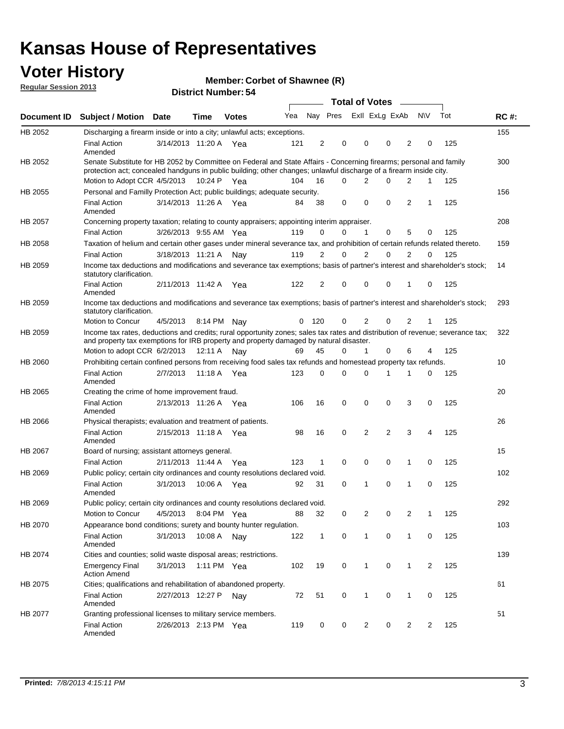## **Voter History**

**Member: Corbet of Shawnee (R)** 

**Regular Session 2013**

|             |                                                                                                                                                                                                                                          |                       |             | ט וסטוווער ועווווערו |     |                |          | <b>Total of Votes</b> |                | $\sim$         |                |                |     |             |
|-------------|------------------------------------------------------------------------------------------------------------------------------------------------------------------------------------------------------------------------------------------|-----------------------|-------------|----------------------|-----|----------------|----------|-----------------------|----------------|----------------|----------------|----------------|-----|-------------|
| Document ID | <b>Subject / Motion Date</b>                                                                                                                                                                                                             |                       | <b>Time</b> | <b>Votes</b>         | Yea |                | Nay Pres |                       | Exll ExLg ExAb |                |                | <b>NV</b>      | Tot | <b>RC#:</b> |
| HB 2052     | Discharging a firearm inside or into a city; unlawful acts; exceptions.                                                                                                                                                                  |                       |             |                      |     |                |          |                       |                |                |                |                |     | 155         |
|             | <b>Final Action</b><br>Amended                                                                                                                                                                                                           | 3/14/2013 11:20 A Yea |             |                      | 121 | $\overline{2}$ | 0        |                       | 0              | 0              | 2              | 0              | 125 |             |
| HB 2052     | Senate Substitute for HB 2052 by Committee on Federal and State Affairs - Concerning firearms; personal and family<br>protection act; concealed handguns in public building; other changes; unlawful discharge of a firearm inside city. |                       |             |                      |     |                |          |                       |                |                |                |                |     | 300         |
|             | Motion to Adopt CCR 4/5/2013 10:24 P Yea                                                                                                                                                                                                 |                       |             |                      | 104 | 16             | $\Omega$ |                       | 2              | 0              | 2              | 1              | 125 |             |
| HB 2055     | Personal and Familly Protection Act; public buildings; adequate security.                                                                                                                                                                |                       |             |                      |     |                |          |                       |                |                |                |                |     | 156         |
|             | <b>Final Action</b><br>Amended                                                                                                                                                                                                           | 3/14/2013 11:26 A Yea |             |                      | 84  | 38             | 0        |                       | 0              | 0              | 2              | 1              | 125 |             |
| HB 2057     | Concerning property taxation; relating to county appraisers; appointing interim appraiser.                                                                                                                                               |                       |             |                      |     |                |          |                       |                |                |                |                |     | 208         |
|             | <b>Final Action</b>                                                                                                                                                                                                                      | 3/26/2013 9:55 AM Yea |             |                      | 119 | 0              | 0        |                       | 1              | 0              | 5              | 0              | 125 |             |
| HB 2058     | Taxation of helium and certain other gases under mineral severance tax, and prohibition of certain refunds related thereto.                                                                                                              |                       |             |                      |     |                |          |                       |                |                |                |                |     | 159         |
|             | <b>Final Action</b>                                                                                                                                                                                                                      | 3/18/2013 11:21 A     |             | Nav                  | 119 | 2              | 0        |                       | $\overline{2}$ | $\Omega$       | 2              | $\Omega$       | 125 |             |
| HB 2059     | Income tax deductions and modifications and severance tax exemptions; basis of partner's interest and shareholder's stock;<br>statutory clarification.                                                                                   |                       |             |                      |     |                |          |                       |                |                |                |                |     | 14          |
|             | <b>Final Action</b><br>Amended                                                                                                                                                                                                           | 2/11/2013 11:42 A     |             | Yea                  | 122 | 2              | 0        |                       | 0              | 0              | 1              | 0              | 125 |             |
| HB 2059     | Income tax deductions and modifications and severance tax exemptions; basis of partner's interest and shareholder's stock;<br>statutory clarification.                                                                                   |                       |             |                      |     |                |          |                       |                |                |                |                |     | 293         |
|             | Motion to Concur                                                                                                                                                                                                                         | 4/5/2013              | 8:14 PM     | Nav                  | 0   | - 120          | 0        |                       | 2              | 0              | $\overline{2}$ | 1              | 125 |             |
| HB 2059     | Income tax rates, deductions and credits; rural opportunity zones; sales tax rates and distribution of revenue; severance tax;<br>and property tax exemptions for IRB property and property damaged by natural disaster.                 |                       |             |                      |     |                |          |                       |                |                |                |                |     | 322         |
|             | Motion to adopt CCR 6/2/2013                                                                                                                                                                                                             |                       | 12:11 A     | Nav                  | 69  | 45             | 0        |                       | $\mathbf{1}$   | 0              | 6              | 4              | 125 |             |
| HB 2060     | Prohibiting certain confined persons from receiving food sales tax refunds and homestead property tax refunds.                                                                                                                           |                       |             |                      |     |                |          |                       |                |                |                |                |     | 10          |
|             | <b>Final Action</b><br>Amended                                                                                                                                                                                                           | 2/7/2013              | 11:18 A     | Yea                  | 123 | $\mathbf 0$    | 0        |                       | $\Omega$       | 1              | 1              | 0              | 125 |             |
| HB 2065     | Creating the crime of home improvement fraud.                                                                                                                                                                                            |                       |             |                      |     |                |          |                       |                |                |                |                |     | 20          |
|             | <b>Final Action</b><br>Amended                                                                                                                                                                                                           | 2/13/2013 11:26 A Yea |             |                      | 106 | 16             | 0        |                       | $\mathbf 0$    | 0              | 3              | 0              | 125 |             |
| HB 2066     | Physical therapists; evaluation and treatment of patients.                                                                                                                                                                               |                       |             |                      |     |                |          |                       |                |                |                |                |     | 26          |
|             | <b>Final Action</b><br>Amended                                                                                                                                                                                                           | 2/15/2013 11:18 A Yea |             |                      | 98  | 16             | 0        |                       | 2              | $\overline{2}$ | 3              | 4              | 125 |             |
| HB 2067     | Board of nursing; assistant attorneys general.                                                                                                                                                                                           |                       |             |                      |     |                |          |                       |                |                |                |                |     | 15          |
|             | <b>Final Action</b>                                                                                                                                                                                                                      | 2/11/2013 11:44 A Yea |             |                      | 123 | 1              | 0        |                       | 0              | 0              | 1              | 0              | 125 |             |
| HB 2069     | Public policy; certain city ordinances and county resolutions declared void.                                                                                                                                                             |                       |             |                      |     |                |          |                       |                |                |                |                |     | 102         |
|             | <b>Final Action</b><br>Amended                                                                                                                                                                                                           | 3/1/2013              | 10:06 A     | Yea                  | 92  | 31             | $\Omega$ |                       | 1              | $\Omega$       | 1              | $\mathbf 0$    | 125 |             |
| HB 2069     | Public policy; certain city ordinances and county resolutions declared void.                                                                                                                                                             |                       |             |                      |     |                |          |                       |                |                |                |                |     | 292         |
|             | <b>Motion to Concur</b>                                                                                                                                                                                                                  | 4/5/2013              |             | 8:04 PM Yea          | 88  | 32             | 0        |                       | 2              | 0              | $\overline{2}$ | 1              | 125 |             |
| HB 2070     | Appearance bond conditions; surety and bounty hunter regulation.                                                                                                                                                                         |                       |             |                      |     |                |          |                       |                |                |                |                |     | 103         |
|             | <b>Final Action</b><br>Amended                                                                                                                                                                                                           | 3/1/2013              |             | 10:08 A Nay          | 122 | $\mathbf{1}$   | 0        |                       | $\mathbf{1}$   | 0              | 1              | 0              | 125 |             |
| HB 2074     | Cities and counties; solid waste disposal areas; restrictions.                                                                                                                                                                           |                       |             |                      |     |                |          |                       |                |                |                |                |     | 139         |
|             | <b>Emergency Final</b><br><b>Action Amend</b>                                                                                                                                                                                            | 3/1/2013              |             | 1:11 PM Yea          | 102 | 19             | 0        |                       | 1              | 0              | 1              | $\overline{2}$ | 125 |             |
| HB 2075     | Cities; qualifications and rehabilitation of abandoned property.                                                                                                                                                                         |                       |             |                      |     |                |          |                       |                |                |                |                |     | 61          |
|             | <b>Final Action</b><br>Amended                                                                                                                                                                                                           | 2/27/2013 12:27 P     |             | Nav                  | 72  | 51             | 0        |                       | 1              | 0              | 1              | 0              | 125 |             |
| HB 2077     | Granting professional licenses to military service members.<br><b>Final Action</b><br>Amended                                                                                                                                            | 2/26/2013 2:13 PM Yea |             |                      | 119 | 0              | 0        |                       | $\overline{2}$ | 0              | 2              | 2              | 125 | 51          |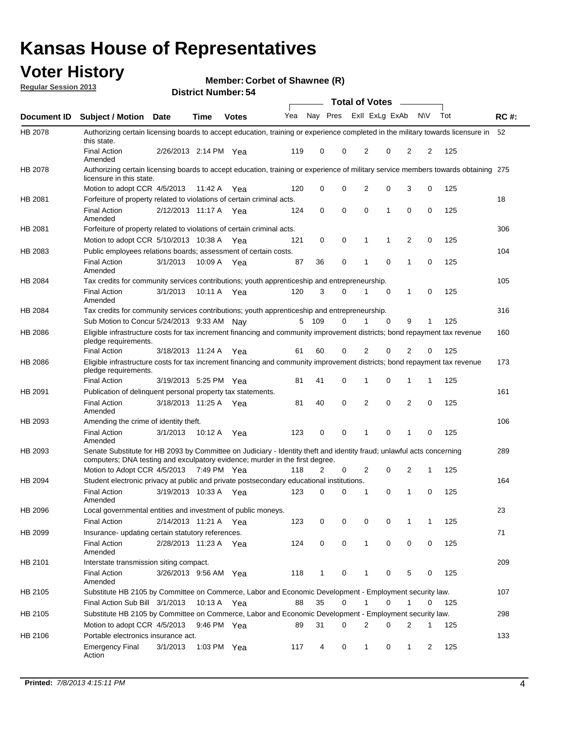## **Voter History**

**Member: Corbet of Shawnee (R)** 

**Regular Session 2013**

|                    |                                                                                                                                                                                                       |                       |             |              |     |          |   | <b>Total of Votes</b> |             |              |           |     |             |
|--------------------|-------------------------------------------------------------------------------------------------------------------------------------------------------------------------------------------------------|-----------------------|-------------|--------------|-----|----------|---|-----------------------|-------------|--------------|-----------|-----|-------------|
| <b>Document ID</b> | Subject / Motion Date                                                                                                                                                                                 |                       | <b>Time</b> | <b>Votes</b> | Yea | Nay Pres |   | Exll ExLg ExAb        |             |              | <b>NV</b> | Tot | <b>RC#:</b> |
| HB 2078            | Authorizing certain licensing boards to accept education, training or experience completed in the military towards licensure in<br>this state.                                                        |                       |             |              |     |          |   |                       |             |              |           |     | 52          |
|                    | <b>Final Action</b><br>Amended                                                                                                                                                                        | 2/26/2013 2:14 PM Yea |             |              | 119 | 0        | 0 | 2                     | 0           | 2            | 2         | 125 |             |
| HB 2078            | Authorizing certain licensing boards to accept education, training or experience of military service members towards obtaining 275<br>licensure in this state.                                        |                       |             |              |     |          |   |                       |             |              |           |     |             |
|                    | Motion to adopt CCR 4/5/2013                                                                                                                                                                          |                       | 11:42 A     | Yea          | 120 | 0        | 0 | 2                     | 0           | 3            | 0         | 125 |             |
| HB 2081            | Forfeiture of property related to violations of certain criminal acts.                                                                                                                                |                       |             |              |     |          |   |                       |             |              |           |     | 18          |
|                    | <b>Final Action</b><br>Amended                                                                                                                                                                        | 2/12/2013 11:17 A Yea |             |              | 124 | 0        | 0 | 0                     | 1           | 0            | 0         | 125 |             |
| HB 2081            | Forfeiture of property related to violations of certain criminal acts.                                                                                                                                |                       |             |              |     |          |   |                       |             |              |           |     | 306         |
|                    | Motion to adopt CCR 5/10/2013 10:38 A                                                                                                                                                                 |                       |             | Yea          | 121 | 0        | 0 | 1                     | 1           | 2            | 0         | 125 |             |
| HB 2083            | Public employees relations boards; assessment of certain costs.                                                                                                                                       |                       |             |              |     |          |   |                       |             |              |           |     | 104         |
|                    | <b>Final Action</b><br>Amended                                                                                                                                                                        | 3/1/2013              | 10:09 A     | Yea          | 87  | 36       | 0 | 1                     | 0           | 1            | 0         | 125 |             |
| HB 2084            | Tax credits for community services contributions; youth apprenticeship and entrepreneurship.                                                                                                          |                       |             |              |     |          |   |                       |             |              |           |     | 105         |
|                    | <b>Final Action</b><br>Amended                                                                                                                                                                        | 3/1/2013              | 10:11 A Yea |              | 120 | 3        | 0 | 1                     | 0           | 1            | 0         | 125 |             |
| HB 2084            | Tax credits for community services contributions; youth apprenticeship and entrepreneurship.                                                                                                          |                       |             |              |     |          |   |                       |             |              |           |     | 316         |
|                    | Sub Motion to Concur 5/24/2013 9:33 AM Nay                                                                                                                                                            |                       |             |              |     | 5 109    | 0 | 1                     | $\mathbf 0$ | 9            | 1         | 125 |             |
| HB 2086            | Eligible infrastructure costs for tax increment financing and community improvement districts; bond repayment tax revenue<br>pledge requirements.                                                     |                       |             |              |     |          |   |                       |             |              |           |     | 160         |
|                    | <b>Final Action</b>                                                                                                                                                                                   | 3/18/2013 11:24 A     |             | Yea          | 61  | 60       | 0 | 2                     | 0           | 2            | 0         | 125 |             |
| HB 2086            | Eligible infrastructure costs for tax increment financing and community improvement districts; bond repayment tax revenue<br>pledge requirements.                                                     |                       |             |              |     |          |   |                       |             |              |           |     | 173         |
|                    | <b>Final Action</b>                                                                                                                                                                                   | 3/19/2013 5:25 PM Yea |             |              | 81  | 41       | 0 | 1                     | 0           | 1            | 1         | 125 |             |
| HB 2091            | Publication of delinquent personal property tax statements.                                                                                                                                           |                       |             |              |     |          |   |                       |             |              |           |     | 161         |
|                    | <b>Final Action</b><br>Amended                                                                                                                                                                        | 3/18/2013 11:25 A     |             | Yea          | 81  | 40       | 0 | 2                     | $\mathbf 0$ | 2            | 0         | 125 |             |
| HB 2093            | Amending the crime of identity theft.                                                                                                                                                                 |                       |             |              |     |          |   |                       |             |              |           |     | 106         |
|                    | <b>Final Action</b><br>Amended                                                                                                                                                                        | 3/1/2013              | 10:12 A Yea |              | 123 | 0        | 0 | 1                     | 0           | 1            | $\Omega$  | 125 |             |
| HB 2093            | Senate Substitute for HB 2093 by Committee on Judiciary - Identity theft and identity fraud; unlawful acts concerning<br>computers; DNA testing and exculpatory evidence; murder in the first degree. |                       |             |              |     |          |   |                       |             |              |           |     | 289         |
|                    | Motion to Adopt CCR 4/5/2013 7:49 PM Yea                                                                                                                                                              |                       |             |              | 118 | 2        | 0 | 2                     | 0           | 2            | 1         | 125 |             |
| HB 2094            | Student electronic privacy at public and private postsecondary educational institutions.                                                                                                              |                       |             |              |     |          |   |                       |             |              |           |     | 164         |
|                    | <b>Final Action</b><br>Amended                                                                                                                                                                        | 3/19/2013 10:33 A     |             | Yea          | 123 | 0        | 0 | 1                     | 0           | 1            | 0         | 125 |             |
| HB 2096            | Local governmental entities and investment of public moneys.                                                                                                                                          |                       |             |              |     |          |   |                       |             |              |           |     | 23          |
|                    | <b>Final Action</b>                                                                                                                                                                                   | 2/14/2013 11:21 A Yea |             |              | 123 | 0        | 0 | 0                     | 0           | 1            | 1         | 125 |             |
| HB 2099            | Insurance- updating certain statutory references.                                                                                                                                                     |                       |             |              |     |          |   |                       |             |              |           |     | 71          |
|                    | <b>Final Action</b><br>Amended                                                                                                                                                                        | 2/28/2013 11:23 A Yea |             |              | 124 | 0        | 0 | $\mathbf{1}$          | 0           | 0            | 0         | 125 |             |
| HB 2101            | Interstate transmission siting compact.                                                                                                                                                               |                       |             |              |     |          |   |                       |             |              |           |     | 209         |
|                    | Final Action<br>Amended                                                                                                                                                                               | 3/26/2013 9:56 AM Yea |             |              | 118 | 1        | 0 | 1                     | 0           | 5            | 0         | 125 |             |
| HB 2105            | Substitute HB 2105 by Committee on Commerce, Labor and Economic Development - Employment security law.                                                                                                |                       |             |              |     |          |   |                       |             |              |           |     | 107         |
|                    | Final Action Sub Bill 3/1/2013                                                                                                                                                                        |                       | 10:13 A Yea |              | 88  | 35       | 0 |                       | 0           | 1            | 0         | 125 |             |
| HB 2105            | Substitute HB 2105 by Committee on Commerce, Labor and Economic Development - Employment security law.                                                                                                |                       |             |              |     |          |   |                       |             |              |           |     | 298         |
|                    | Motion to adopt CCR 4/5/2013                                                                                                                                                                          |                       | 9:46 PM Yea |              | 89  | 31       | 0 | 2                     | 0           | 2            | 1         | 125 |             |
|                    | Portable electronics insurance act.                                                                                                                                                                   |                       |             |              |     |          |   |                       |             |              |           |     | 133         |
| HB 2106            |                                                                                                                                                                                                       |                       |             |              |     |          |   |                       |             |              |           |     |             |
|                    | Emergency Final<br>Action                                                                                                                                                                             | 3/1/2013              | 1:03 PM Yea |              | 117 | 4        | 0 | $\mathbf{1}$          | 0           | $\mathbf{1}$ | 2         | 125 |             |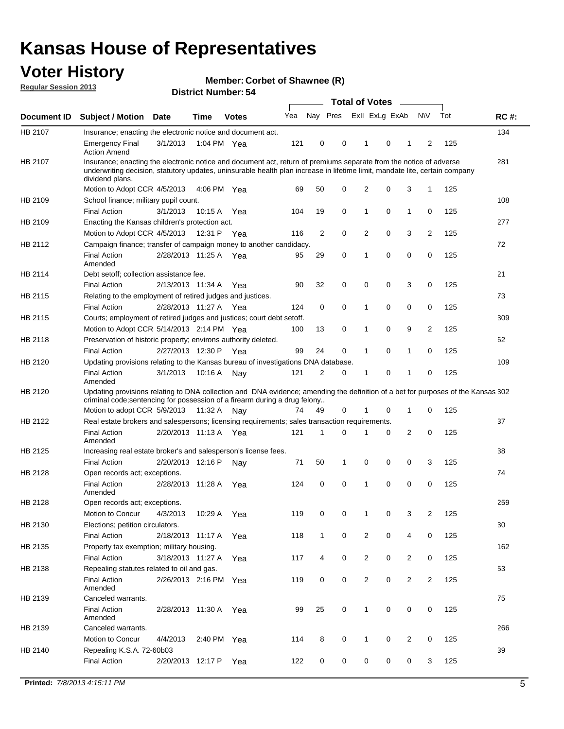## **Voter History**

**Member: Corbet of Shawnee (R)** 

**Regular Session 2013**

|             |                                                                                                                                                                                                                                                                      |                       |             |              |     |              |   | <b>Total of Votes</b>   |   | $\sim$         |                |     |             |
|-------------|----------------------------------------------------------------------------------------------------------------------------------------------------------------------------------------------------------------------------------------------------------------------|-----------------------|-------------|--------------|-----|--------------|---|-------------------------|---|----------------|----------------|-----|-------------|
| Document ID | <b>Subject / Motion</b>                                                                                                                                                                                                                                              | Date                  | <b>Time</b> | <b>Votes</b> | Yea |              |   | Nay Pres Exll ExLg ExAb |   |                | <b>NV</b>      | Tot | <b>RC#:</b> |
| HB 2107     | Insurance; enacting the electronic notice and document act.                                                                                                                                                                                                          |                       |             |              |     |              |   |                         |   |                |                |     | 134         |
|             | <b>Emergency Final</b><br><b>Action Amend</b>                                                                                                                                                                                                                        | 3/1/2013              | 1:04 PM Yea |              | 121 | 0            | 0 | 1                       | 0 | 1              | 2              | 125 |             |
| HB 2107     | Insurance; enacting the electronic notice and document act, return of premiums separate from the notice of adverse<br>underwriting decision, statutory updates, uninsurable health plan increase in lifetime limit, mandate lite, certain company<br>dividend plans. |                       |             |              |     |              |   |                         |   |                |                |     | 281         |
|             | Motion to Adopt CCR 4/5/2013                                                                                                                                                                                                                                         |                       | 4:06 PM Yea |              | 69  | 50           | 0 | $\overline{2}$          | 0 | 3              | 1              | 125 |             |
| HB 2109     | School finance; military pupil count.                                                                                                                                                                                                                                |                       |             |              |     |              |   |                         |   |                |                |     | 108         |
|             | <b>Final Action</b>                                                                                                                                                                                                                                                  | 3/1/2013              | 10:15 A     | Yea          | 104 | 19           | 0 | 1                       | 0 | $\mathbf{1}$   | 0              | 125 |             |
| HB 2109     | Enacting the Kansas children's protection act.                                                                                                                                                                                                                       |                       |             |              |     |              |   |                         |   |                |                |     | 277         |
|             | Motion to Adopt CCR 4/5/2013                                                                                                                                                                                                                                         |                       | 12:31 P Yea |              | 116 | 2            | 0 | 2                       | 0 | 3              | $\overline{2}$ | 125 |             |
| HB 2112     | Campaign finance; transfer of campaign money to another candidacy.                                                                                                                                                                                                   |                       |             |              |     |              |   |                         |   |                |                |     | 72          |
|             | <b>Final Action</b><br>Amended                                                                                                                                                                                                                                       | 2/28/2013 11:25 A Yea |             |              | 95  | 29           | 0 | 1                       | 0 | 0              | 0              | 125 |             |
| HB 2114     | Debt setoff; collection assistance fee.                                                                                                                                                                                                                              |                       |             |              |     |              |   |                         |   |                |                |     | 21          |
|             | <b>Final Action</b>                                                                                                                                                                                                                                                  | 2/13/2013 11:34 A     |             | Yea          | 90  | 32           | 0 | 0                       | 0 | 3              | 0              | 125 |             |
| HB 2115     | Relating to the employment of retired judges and justices.                                                                                                                                                                                                           |                       |             |              |     |              |   |                         |   |                |                |     | 73          |
|             | <b>Final Action</b>                                                                                                                                                                                                                                                  | 2/28/2013 11:27 A     |             | Yea          | 124 | 0            | 0 | 1                       | 0 | 0              | 0              | 125 |             |
| HB 2115     | Courts; employment of retired judges and justices; court debt setoff.                                                                                                                                                                                                |                       |             |              |     |              |   |                         |   |                |                |     | 309         |
|             | Motion to Adopt CCR 5/14/2013 2:14 PM Yea                                                                                                                                                                                                                            |                       |             |              | 100 | 13           | 0 | 1                       | 0 | 9              | 2              | 125 |             |
| HB 2118     | Preservation of historic property; environs authority deleted.                                                                                                                                                                                                       |                       |             |              |     |              |   |                         |   |                |                |     | 62          |
|             | <b>Final Action</b>                                                                                                                                                                                                                                                  | 2/27/2013 12:30 P     |             | Yea          | 99  | 24           | 0 |                         | 0 | 1              | 0              | 125 |             |
| HB 2120     | Updating provisions relating to the Kansas bureau of investigations DNA database.                                                                                                                                                                                    |                       |             |              |     |              |   |                         |   |                |                |     | 109         |
|             | <b>Final Action</b><br>Amended                                                                                                                                                                                                                                       | 3/1/2013              | 10:16 A     | Nay          | 121 | 2            | 0 | 1                       | 0 | 1              | 0              | 125 |             |
| HB 2120     | Updating provisions relating to DNA collection and DNA evidence; amending the definition of a bet for purposes of the Kansas 302                                                                                                                                     |                       |             |              |     |              |   |                         |   |                |                |     |             |
|             | criminal code; sentencing for possession of a firearm during a drug felony<br>Motion to adopt CCR 5/9/2013                                                                                                                                                           |                       | 11:32 A     | Nav          | 74  | 49           | 0 |                         | 0 | 1              | 0              | 125 |             |
| HB 2122     | Real estate brokers and salespersons; licensing requirements; sales transaction requirements.                                                                                                                                                                        |                       |             |              |     |              |   |                         |   |                |                |     | 37          |
|             | <b>Final Action</b><br>Amended                                                                                                                                                                                                                                       | 2/20/2013 11:13 A Yea |             |              | 121 | 1            | 0 |                         | 0 | $\overline{2}$ | 0              | 125 |             |
| HB 2125     | Increasing real estate broker's and salesperson's license fees.                                                                                                                                                                                                      |                       |             |              |     |              |   |                         |   |                |                |     | 38          |
|             | <b>Final Action</b>                                                                                                                                                                                                                                                  | 2/20/2013 12:16 P     |             | Nav          | 71  | 50           | 1 | 0                       | 0 | 0              | 3              | 125 |             |
| HB 2128     | Open records act; exceptions.                                                                                                                                                                                                                                        |                       |             |              |     |              |   |                         |   |                |                |     | 74          |
|             | <b>Final Action</b><br>Amended                                                                                                                                                                                                                                       | 2/28/2013 11:28 A     |             | Yea          | 124 | 0            | 0 | 1                       | 0 | 0              | 0              | 125 |             |
| HB 2128     | Open records act; exceptions.                                                                                                                                                                                                                                        |                       |             |              |     |              |   |                         |   |                |                |     | 259         |
|             | Motion to Concur                                                                                                                                                                                                                                                     | 4/3/2013              | 10:29 A     | Yea          | 119 | 0            | 0 |                         | 0 | 3              | 2              | 125 |             |
| HB 2130     | Elections; petition circulators.                                                                                                                                                                                                                                     |                       |             |              |     |              |   |                         |   |                |                |     | 30          |
|             | <b>Final Action</b>                                                                                                                                                                                                                                                  | 2/18/2013 11:17 A     |             | Yea          | 118 | $\mathbf{1}$ | 0 | $\overline{2}$          | 0 | 4              | 0              | 125 |             |
| HB 2135     | Property tax exemption; military housing.                                                                                                                                                                                                                            |                       |             |              |     |              |   |                         |   |                |                |     | 162         |
|             | <b>Final Action</b>                                                                                                                                                                                                                                                  | 3/18/2013 11:27 A     |             | Yea          | 117 | 4            | 0 | $\overline{c}$          | 0 | $\overline{2}$ | 0              | 125 |             |
| HB 2138     | Repealing statutes related to oil and gas.                                                                                                                                                                                                                           |                       |             |              |     |              |   |                         |   |                |                |     | 53          |
|             | <b>Final Action</b><br>Amended                                                                                                                                                                                                                                       | 2/26/2013 2:16 PM Yea |             |              | 119 | 0            | 0 | $\overline{2}$          | 0 | $\overline{2}$ | 2              | 125 |             |
| HB 2139     | Canceled warrants.                                                                                                                                                                                                                                                   |                       |             |              |     |              |   |                         |   |                |                |     | 75          |
|             | <b>Final Action</b><br>Amended                                                                                                                                                                                                                                       | 2/28/2013 11:30 A Yea |             |              | 99  | 25           | 0 | $\mathbf{1}$            | 0 | 0              | 0              | 125 |             |
| HB 2139     | Canceled warrants.                                                                                                                                                                                                                                                   |                       |             |              |     |              |   |                         |   |                |                |     | 266         |
|             | Motion to Concur                                                                                                                                                                                                                                                     | 4/4/2013              | 2:40 PM Yea |              | 114 | 8            | 0 | 1                       | 0 | 2              | 0              | 125 |             |
| HB 2140     | Repealing K.S.A. 72-60b03                                                                                                                                                                                                                                            |                       |             |              |     |              |   |                         |   |                |                |     | 39          |
|             | <b>Final Action</b>                                                                                                                                                                                                                                                  | 2/20/2013 12:17 P     |             | Yea          | 122 | 0            | 0 | 0                       | 0 | 0              | 3              | 125 |             |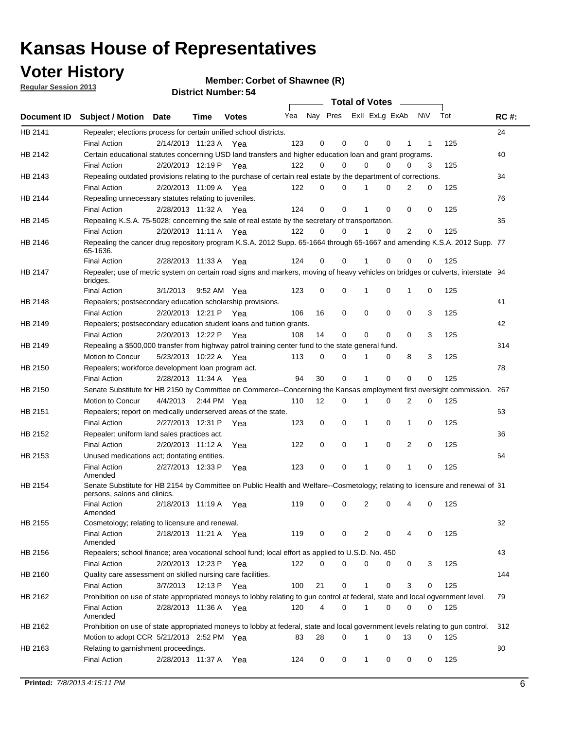## **Voter History**

**Member: Corbet of Shawnee (R)** 

**Regular Session 2013**

|                    |                                                                                                                                              |          |                       |              |     |    | <b>Total of Votes</b>   |              |          | $\sim 100$     |     |     |             |
|--------------------|----------------------------------------------------------------------------------------------------------------------------------------------|----------|-----------------------|--------------|-----|----|-------------------------|--------------|----------|----------------|-----|-----|-------------|
| <b>Document ID</b> | <b>Subject / Motion Date</b>                                                                                                                 |          | Time                  | <b>Votes</b> | Yea |    | Nay Pres ExII ExLg ExAb |              |          |                | N\V | Tot | <b>RC#:</b> |
| HB 2141            | Repealer; elections process for certain unified school districts.                                                                            |          |                       |              |     |    |                         |              |          |                |     |     | 24          |
|                    | <b>Final Action</b>                                                                                                                          |          | 2/14/2013 11:23 A     | Yea          | 123 | 0  | 0                       | 0            | 0        | 1              | 1   | 125 |             |
| HB 2142            | Certain educational statutes concerning USD land transfers and higher education loan and grant programs.                                     |          |                       |              |     |    |                         |              |          |                |     |     | 40          |
|                    | <b>Final Action</b>                                                                                                                          |          | 2/20/2013 12:19 P Yea |              | 122 | 0  | 0                       | 0            | $\Omega$ | 0              | 3   | 125 |             |
| HB 2143            | Repealing outdated provisions relating to the purchase of certain real estate by the department of corrections.                              |          |                       |              |     |    |                         |              |          |                |     |     | 34          |
|                    | <b>Final Action</b>                                                                                                                          |          | 2/20/2013 11:09 A Yea |              | 122 | 0  | 0                       | 1            | 0        | $\overline{2}$ | 0   | 125 |             |
| HB 2144            | Repealing unnecessary statutes relating to juveniles.                                                                                        |          |                       |              |     |    |                         |              |          |                |     |     | 76          |
|                    | <b>Final Action</b>                                                                                                                          |          | 2/28/2013 11:32 A Yea |              | 124 | 0  | 0                       | 1            | 0        | 0              | 0   | 125 |             |
| HB 2145            | Repealing K.S.A. 75-5028; concerning the sale of real estate by the secretary of transportation.                                             |          |                       |              |     |    |                         |              |          |                |     |     | 35          |
|                    | <b>Final Action</b>                                                                                                                          |          | 2/20/2013 11:11 A Yea |              | 122 | 0  | 0                       | 1            | 0        | 2              | 0   | 125 |             |
| HB 2146            | Repealing the cancer drug repository program K.S.A. 2012 Supp. 65-1664 through 65-1667 and amending K.S.A. 2012 Supp. 77<br>65-1636.         |          |                       |              |     |    |                         |              |          |                |     |     |             |
|                    | <b>Final Action</b>                                                                                                                          |          | 2/28/2013 11:33 A     | Yea          | 124 | 0  | 0                       | 1            | $\Omega$ | 0              | 0   | 125 |             |
| HB 2147            | Repealer; use of metric system on certain road signs and markers, moving of heavy vehicles on bridges or culverts, interstate 94<br>bridges. |          |                       |              |     |    |                         |              |          |                |     |     |             |
|                    | <b>Final Action</b>                                                                                                                          | 3/1/2013 |                       | 9:52 AM Yea  | 123 | 0  | 0                       |              | 0        | 1              | 0   | 125 |             |
| HB 2148            | Repealers; postsecondary education scholarship provisions.                                                                                   |          |                       |              |     |    |                         |              |          |                |     |     | 41          |
|                    | <b>Final Action</b>                                                                                                                          |          | 2/20/2013 12:21 P     | Yea          | 106 | 16 | $\mathbf 0$             | 0            | 0        | $\mathbf 0$    | 3   | 125 |             |
| HB 2149            | Repealers; postsecondary education student loans and tuition grants.                                                                         |          |                       |              |     |    |                         |              |          |                |     |     | 42          |
|                    | <b>Final Action</b>                                                                                                                          |          | 2/20/2013 12:22 P     | Yea          | 108 | 14 | 0                       | 0            | $\Omega$ | $\Omega$       | 3   | 125 |             |
| HB 2149            | Repealing a \$500,000 transfer from highway patrol training center fund to the state general fund.                                           |          |                       |              |     |    |                         |              |          |                |     |     | 314         |
|                    | Motion to Concur                                                                                                                             |          | 5/23/2013 10:22 A Yea |              | 113 | 0  | 0                       |              | 0        | 8              | 3   | 125 |             |
| HB 2150            | Repealers; workforce development loan program act.                                                                                           |          |                       |              |     |    |                         |              |          |                |     |     | 78          |
|                    | <b>Final Action</b>                                                                                                                          |          | 2/28/2013 11:34 A Yea |              | 94  | 30 | $\mathbf 0$             | 1            | 0        | 0              | 0   | 125 |             |
| HB 2150            | Senate Substitute for HB 2150 by Committee on Commerce--Concerning the Kansas employment first oversight commission.                         |          |                       |              |     |    |                         |              |          |                |     |     | 267         |
|                    | Motion to Concur                                                                                                                             |          | 4/4/2013 2:44 PM Yea  |              | 110 | 12 | 0                       | 1            | 0        | 2              | 0   | 125 |             |
| HB 2151            | Repealers; report on medically underserved areas of the state.                                                                               |          |                       |              |     |    |                         |              |          |                |     |     | 63          |
|                    | <b>Final Action</b>                                                                                                                          |          | 2/27/2013 12:31 P     | Yea          | 123 | 0  | $\mathbf 0$             | 1            | 0        | 1              | 0   | 125 |             |
| HB 2152            | Repealer: uniform land sales practices act.                                                                                                  |          |                       |              |     |    |                         |              |          |                |     |     | 36          |
|                    | <b>Final Action</b>                                                                                                                          |          | 2/20/2013 11:12 A     | Yea          | 122 | 0  | $\mathbf 0$             | 1            | 0        | 2              | 0   | 125 |             |
| HB 2153            | Unused medications act; dontating entities.                                                                                                  |          |                       |              |     |    |                         |              |          |                |     |     | 64          |
|                    | <b>Final Action</b><br>Amended                                                                                                               |          | 2/27/2013 12:33 P     | Yea          | 123 | 0  | 0                       | 1            | 0        | 1              | 0   | 125 |             |
| HB 2154            | Senate Substitute for HB 2154 by Committee on Public Health and Welfare--Cosmetology; relating to licensure and renewal of 31                |          |                       |              |     |    |                         |              |          |                |     |     |             |
|                    | persons, salons and clinics.<br><b>Final Action</b><br>Amended                                                                               |          | 2/18/2013 11:19 A     | Yea          | 119 | 0  | 0                       | 2            | 0        | 4              | 0   | 125 |             |
| HB 2155            | Cosmetology; relating to licensure and renewal.                                                                                              |          |                       |              |     |    |                         |              |          |                |     |     | 32          |
|                    | <b>Final Action</b><br>Amended                                                                                                               |          | 2/18/2013 11:21 A Yea |              | 119 | 0  | 0                       | 2            | 0        |                | 0   | 125 |             |
| HB 2156            | Repealers; school finance; area vocational school fund; local effort as applied to U.S.D. No. 450                                            |          |                       |              |     |    |                         |              |          |                |     |     | 43          |
|                    | <b>Final Action</b>                                                                                                                          |          | 2/20/2013 12:23 P     | Yea          | 122 | 0  | 0                       | 0            | 0        | 0              | 3   | 125 |             |
| HB 2160            | Quality care assessment on skilled nursing care facilities.                                                                                  |          |                       |              |     |    |                         |              |          |                |     |     | 144         |
|                    | <b>Final Action</b>                                                                                                                          | 3/7/2013 | 12:13 P               | Yea          | 100 | 21 | 0                       | 1            | 0        | 3              | 0   | 125 |             |
| HB 2162            | Prohibition on use of state appropriated moneys to lobby relating to gun control at federal, state and local ogvernment level.               |          |                       |              |     |    |                         |              |          |                |     |     | 79          |
|                    | <b>Final Action</b><br>Amended                                                                                                               |          | 2/28/2013 11:36 A Yea |              | 120 | 4  | 0                       | $\mathbf 1$  | 0        | 0              | 0   | 125 |             |
| HB 2162            | Prohibition on use of state appropriated moneys to lobby at federal, state and local government levels relating to gun control.              |          |                       |              |     |    |                         |              |          |                |     |     | 312         |
|                    | Motion to adopt CCR 5/21/2013 2:52 PM Yea                                                                                                    |          |                       |              | 83  | 28 | 0                       |              | 0        | 13             | 0   | 125 |             |
| HB 2163            | Relating to garnishment proceedings.                                                                                                         |          |                       |              |     |    |                         |              |          |                |     |     | 80          |
|                    | <b>Final Action</b>                                                                                                                          |          | 2/28/2013 11:37 A     | Yea          | 124 | 0  | 0                       | $\mathbf{1}$ | 0        | 0              | 0   | 125 |             |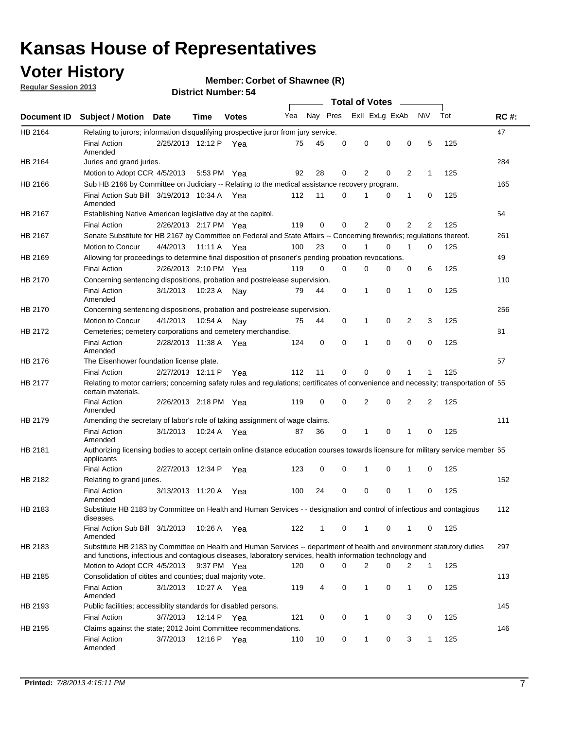## **Voter History**

**Member: Corbet of Shawnee (R)** 

**Regular Session 2013**

|             |                                                                                                                                                                                                                                    |                       |             |              |     |          |          | <b>Total of Votes</b> |   |              |              |     |             |
|-------------|------------------------------------------------------------------------------------------------------------------------------------------------------------------------------------------------------------------------------------|-----------------------|-------------|--------------|-----|----------|----------|-----------------------|---|--------------|--------------|-----|-------------|
| Document ID | Subject / Motion Date                                                                                                                                                                                                              |                       | Time        | <b>Votes</b> | Yea | Nay Pres |          | Exll ExLg ExAb        |   |              | <b>NV</b>    | Tot | <b>RC#:</b> |
| HB 2164     | Relating to jurors; information disqualifying prospective juror from jury service.                                                                                                                                                 |                       |             |              |     |          |          |                       |   |              |              |     | 47          |
|             | <b>Final Action</b><br>Amended                                                                                                                                                                                                     | 2/25/2013 12:12 P Yea |             |              | 75  | 45       | 0        | 0                     | 0 | 0            | 5            | 125 |             |
| HB 2164     | Juries and grand juries.                                                                                                                                                                                                           |                       |             |              |     |          |          |                       |   |              |              |     | 284         |
|             | Motion to Adopt CCR 4/5/2013                                                                                                                                                                                                       |                       |             | 5:53 PM Yea  | 92  | 28       | 0        | 2                     | 0 | 2            | $\mathbf{1}$ | 125 |             |
| HB 2166     | Sub HB 2166 by Committee on Judiciary -- Relating to the medical assistance recovery program.                                                                                                                                      |                       |             |              |     |          |          |                       |   |              |              |     | 165         |
|             | Final Action Sub Bill 3/19/2013 10:34 A Yea<br>Amended                                                                                                                                                                             |                       |             |              | 112 | 11       | 0        |                       | 0 | 1            | 0            | 125 |             |
| HB 2167     | Establishing Native American legislative day at the capitol.                                                                                                                                                                       |                       |             |              |     |          |          |                       |   |              |              |     | 54          |
|             | <b>Final Action</b>                                                                                                                                                                                                                | 2/26/2013 2:17 PM Yea |             |              | 119 | 0        | 0        | 2                     | 0 | 2            | 2            | 125 |             |
| HB 2167     | Senate Substitute for HB 2167 by Committee on Federal and State Affairs -- Concerning fireworks; regulations thereof.                                                                                                              |                       |             |              |     |          |          |                       |   |              |              |     | 261         |
|             | Motion to Concur                                                                                                                                                                                                                   | 4/4/2013 11:11 A Yea  |             |              | 100 | 23       | 0        |                       | 0 | 1            | $\Omega$     | 125 |             |
| HB 2169     | Allowing for proceedings to determine final disposition of prisoner's pending probation revocations.                                                                                                                               |                       |             |              |     |          |          |                       |   |              |              |     | 49          |
|             | <b>Final Action</b>                                                                                                                                                                                                                | 2/26/2013 2:10 PM Yea |             |              | 119 | $\Omega$ | $\Omega$ | 0                     | 0 | 0            | 6            | 125 |             |
| HB 2170     | Concerning sentencing dispositions, probation and postrelease supervision.                                                                                                                                                         |                       |             |              |     |          |          |                       |   |              |              |     | 110         |
|             | <b>Final Action</b><br>Amended                                                                                                                                                                                                     | 3/1/2013              |             | 10:23 A Nay  | 79  | 44       | 0        | 1                     | 0 | $\mathbf{1}$ | 0            | 125 |             |
| HB 2170     | Concerning sentencing dispositions, probation and postrelease supervision.                                                                                                                                                         |                       |             |              |     |          |          |                       |   |              |              |     | 256         |
|             | Motion to Concur                                                                                                                                                                                                                   | 4/1/2013              | 10:54 A     | Nav          | 75  | 44       | 0        | 1                     | 0 | 2            | 3            | 125 |             |
| HB 2172     | Cemeteries; cemetery corporations and cemetery merchandise.                                                                                                                                                                        |                       |             |              |     |          |          |                       |   |              |              |     | 81          |
|             | <b>Final Action</b><br>Amended                                                                                                                                                                                                     | 2/28/2013 11:38 A     |             | Yea          | 124 | 0        | 0        | 1                     | 0 | 0            | 0            | 125 |             |
| HB 2176     | The Eisenhower foundation license plate.                                                                                                                                                                                           |                       |             |              |     |          |          |                       |   |              |              |     | 57          |
|             | <b>Final Action</b>                                                                                                                                                                                                                | 2/27/2013 12:11 P     |             | Yea          | 112 | 11       | 0        | $\Omega$              | 0 |              |              | 125 |             |
| HB 2177     | Relating to motor carriers; concerning safety rules and regulations; certificates of convenience and necessity; transportation of 55<br>certain materials.                                                                         |                       |             |              |     |          |          |                       |   |              |              |     |             |
|             | <b>Final Action</b><br>Amended                                                                                                                                                                                                     | 2/26/2013 2:18 PM Yea |             |              | 119 | 0        | 0        | 2                     | 0 | 2            | 2            | 125 |             |
| HB 2179     | Amending the secretary of labor's role of taking assignment of wage claims.                                                                                                                                                        |                       |             |              |     |          |          |                       |   |              |              |     | 111         |
|             | <b>Final Action</b><br>Amended                                                                                                                                                                                                     | 3/1/2013              |             | 10:24 A Yea  | 87  | 36       | 0        | 1                     | 0 | 1            | 0            | 125 |             |
| HB 2181     | Authorizing licensing bodies to accept certain online distance education courses towards licensure for military service member 55<br>applicants                                                                                    |                       |             |              |     |          |          |                       |   |              |              |     |             |
|             | <b>Final Action</b>                                                                                                                                                                                                                | 2/27/2013 12:34 P     |             | Yea          | 123 | 0        | 0        | 1                     | 0 | 1            | 0            | 125 |             |
| HB 2182     | Relating to grand juries.                                                                                                                                                                                                          |                       |             |              |     |          |          |                       |   |              |              |     | 152         |
|             | <b>Final Action</b><br>Amended                                                                                                                                                                                                     | 3/13/2013 11:20 A     |             | Yea          | 100 | 24       | 0        | 0                     | 0 | 1            | 0            | 125 |             |
| HB 2183     | Substitute HB 2183 by Committee on Health and Human Services - - designation and control of infectious and contagious<br>diseases.                                                                                                 |                       |             |              |     |          |          |                       |   |              |              |     | 112         |
|             | Final Action Sub Bill 3/1/2013<br>Amended                                                                                                                                                                                          |                       |             | 10:26 A Yea  | 122 | 1        | 0        | $\mathbf{1}$          | 0 | 1            | 0            | 125 |             |
| HB 2183     | Substitute HB 2183 by Committee on Health and Human Services -- department of health and environment statutory duties<br>and functions, infectious and contagious diseases, laboratory services, health information technology and |                       |             |              |     |          |          |                       |   |              |              |     | 297         |
|             | Motion to Adopt CCR 4/5/2013                                                                                                                                                                                                       |                       |             | 9:37 PM Yea  | 120 | 0        | $\Omega$ | 2                     | 0 | 2            | $\mathbf{1}$ | 125 |             |
| HB 2185     | Consolidation of citites and counties; dual majority vote.                                                                                                                                                                         |                       |             |              |     |          |          |                       |   |              |              |     | 113         |
|             | <b>Final Action</b><br>Amended                                                                                                                                                                                                     | 3/1/2013              |             | 10:27 A Yea  | 119 | 4        | 0        | 1                     | 0 | 1            | 0            | 125 |             |
| HB 2193     | Public facilities; accessiblity standards for disabled persons.                                                                                                                                                                    |                       |             |              |     |          |          |                       |   |              |              |     | 145         |
|             | <b>Final Action</b>                                                                                                                                                                                                                | 3/7/2013              | 12:14 P Yea |              | 121 | 0        | 0        | 1                     | 0 | 3            | 0            | 125 |             |
| HB 2195     | Claims against the state; 2012 Joint Committee recommendations.                                                                                                                                                                    |                       |             |              |     |          |          |                       |   |              |              |     | 146         |
|             | <b>Final Action</b><br>Amended                                                                                                                                                                                                     | 3/7/2013              | 12:16 P Yea |              | 110 | 10       | 0        | $\mathbf{1}$          | 0 | 3            | $\mathbf{1}$ | 125 |             |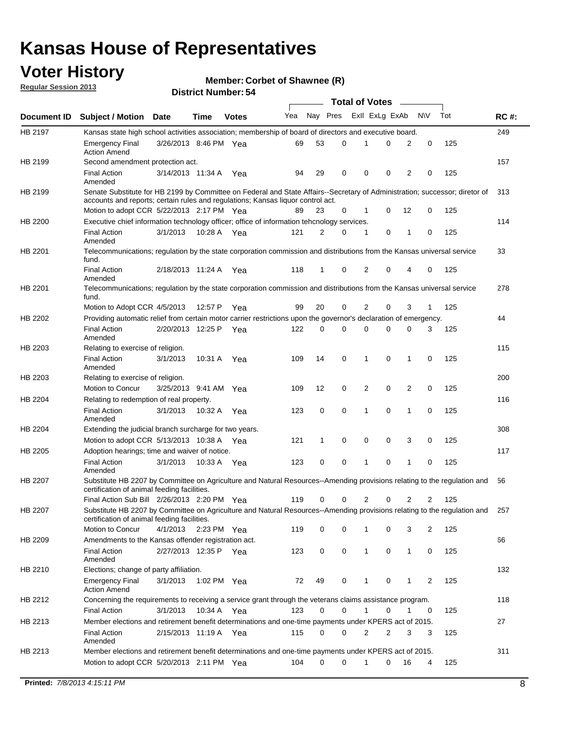## **Voter History**

**Member: Corbet of Shawnee (R)** 

**Regular Session 2013**

|             |                                                                                                                                                                         |                       |             |              |     |          |   | <b>Total of Votes</b> |          |                |                |     |             |
|-------------|-------------------------------------------------------------------------------------------------------------------------------------------------------------------------|-----------------------|-------------|--------------|-----|----------|---|-----------------------|----------|----------------|----------------|-----|-------------|
| Document ID | <b>Subject / Motion Date</b>                                                                                                                                            |                       | Time        | <b>Votes</b> | Yea | Nay Pres |   | Exll ExLg ExAb        |          |                | N\V            | Tot | <b>RC#:</b> |
| HB 2197     | Kansas state high school activities association; membership of board of directors and executive board.                                                                  |                       |             |              |     |          |   |                       |          |                |                |     | 249         |
|             | <b>Emergency Final</b><br><b>Action Amend</b>                                                                                                                           | 3/26/2013 8:46 PM Yea |             |              | 69  | 53       | 0 | 1                     | 0        | 2              | 0              | 125 |             |
| HB 2199     | Second amendment protection act.                                                                                                                                        |                       |             |              |     |          |   |                       |          |                |                |     | 157         |
|             | <b>Final Action</b><br>Amended                                                                                                                                          | 3/14/2013 11:34 A Yea |             |              | 94  | 29       | 0 | 0                     | 0        | 2              | 0              | 125 |             |
| HB 2199     | Senate Substitute for HB 2199 by Committee on Federal and State Affairs--Secretary of Administration; successor; diretor of                                             |                       |             |              |     |          |   |                       |          |                |                |     | 313         |
|             | accounts and reports; certain rules and regulations; Kansas liquor control act.                                                                                         |                       |             |              |     |          |   |                       |          |                |                |     |             |
|             | Motion to adopt CCR 5/22/2013 2:17 PM Yea                                                                                                                               |                       |             |              | 89  | 23       | 0 | 1                     | 0        | 12             | 0              | 125 |             |
| HB 2200     | Executive chief information technology officer; office of information tehcnology services.                                                                              |                       |             |              |     |          |   |                       |          |                |                |     | 114         |
|             | <b>Final Action</b><br>Amended                                                                                                                                          | 3/1/2013              |             | 10:28 A Yea  | 121 | 2        | 0 | 1                     | 0        | 1              | 0              | 125 |             |
| HB 2201     | Telecommunications; regulation by the state corporation commission and distributions from the Kansas universal service<br>fund.                                         |                       |             |              |     |          |   |                       |          |                |                |     | 33          |
|             | <b>Final Action</b><br>Amended                                                                                                                                          | 2/18/2013 11:24 A Yea |             |              | 118 | 1        | 0 | 2                     | 0        | 4              | 0              | 125 |             |
| HB 2201     | Telecommunications; regulation by the state corporation commission and distributions from the Kansas universal service<br>fund.                                         |                       |             |              |     |          |   |                       |          |                |                |     | 278         |
|             | Motion to Adopt CCR 4/5/2013                                                                                                                                            |                       | 12:57 P     | Yea          | 99  | 20       | 0 | 2                     | 0        | 3              | $\mathbf{1}$   | 125 |             |
| HB 2202     | Providing automatic relief from certain motor carrier restrictions upon the governor's declaration of emergency.                                                        |                       |             |              |     |          |   |                       |          |                |                |     | 44          |
|             | <b>Final Action</b><br>Amended                                                                                                                                          | 2/20/2013 12:25 P     |             | Yea          | 122 | 0        | 0 | 0                     | 0        | 0              | 3              | 125 |             |
| HB 2203     | Relating to exercise of religion.                                                                                                                                       |                       |             |              |     |          |   |                       |          |                |                |     | 115         |
|             | <b>Final Action</b><br>Amended                                                                                                                                          | 3/1/2013              | 10:31 A     | Yea          | 109 | 14       | 0 | 1                     | 0        | $\mathbf{1}$   | 0              | 125 |             |
| HB 2203     | Relating to exercise of religion.                                                                                                                                       |                       |             |              |     |          |   |                       |          |                |                |     | 200         |
|             | Motion to Concur                                                                                                                                                        | 3/25/2013 9:41 AM Yea |             |              | 109 | 12       | 0 | 2                     | 0        | $\overline{2}$ | $\mathbf 0$    | 125 |             |
| HB 2204     | Relating to redemption of real property.                                                                                                                                |                       |             |              |     |          |   |                       |          |                |                |     | 116         |
|             | <b>Final Action</b><br>Amended                                                                                                                                          | 3/1/2013              | 10:32 A Yea |              | 123 | 0        | 0 | 1                     | 0        | 1              | $\mathbf 0$    | 125 |             |
| HB 2204     | Extending the judicial branch surcharge for two years.                                                                                                                  |                       |             |              |     |          |   |                       |          |                |                |     | 308         |
|             | Motion to adopt CCR 5/13/2013 10:38 A Yea                                                                                                                               |                       |             |              | 121 | 1        | 0 | 0                     | 0        | 3              | 0              | 125 |             |
| HB 2205     | Adoption hearings; time and waiver of notice.                                                                                                                           |                       |             |              |     |          |   |                       |          |                |                |     | 117         |
|             | <b>Final Action</b><br>Amended                                                                                                                                          | 3/1/2013              | 10:33 A Yea |              | 123 | 0        | 0 | 1                     | 0        | 1              | 0              | 125 |             |
| HB 2207     | Substitute HB 2207 by Committee on Agriculture and Natural Resources--Amending provisions relating to the regulation and<br>certification of animal feeding facilities. |                       |             |              |     |          |   |                       |          |                |                |     | 56          |
|             | Final Action Sub Bill 2/26/2013 2:20 PM Yea                                                                                                                             |                       |             |              | 119 | 0        | 0 | 2                     | 0        | 2              | 2              | 125 |             |
| HB 2207     | Substitute HB 2207 by Committee on Agriculture and Natural Resources--Amending provisions relating to the regulation and<br>certification of animal feeding facilities. |                       |             |              |     |          |   |                       |          |                |                |     | 257         |
|             | Motion to Concur                                                                                                                                                        | 4/1/2013              | 2:23 PM Yea |              | 119 | 0        | 0 | 1                     | 0        | 3              | 2              | 125 |             |
| HB 2209     | Amendments to the Kansas offender registration act.                                                                                                                     |                       |             |              |     |          |   |                       |          |                |                |     | 66          |
|             | <b>Final Action</b><br>Amended                                                                                                                                          | 2/27/2013 12:35 P Yea |             |              | 123 | 0        | 0 | $\mathbf{1}$          | 0        | $\mathbf{1}$   | 0              | 125 |             |
| HB 2210     | Elections; change of party affiliation.                                                                                                                                 |                       |             |              |     |          |   |                       |          |                |                |     | 132         |
|             | <b>Emergency Final</b><br><b>Action Amend</b>                                                                                                                           | 3/1/2013              | 1:02 PM Yea |              | 72  | 49       | 0 | 1                     | 0        | 1              | $\overline{2}$ | 125 |             |
| HB 2212     | Concerning the requirements to receiving a service grant through the veterans claims assistance program.                                                                |                       |             |              |     |          |   |                       |          |                |                |     | 118         |
|             | <b>Final Action</b>                                                                                                                                                     | 3/1/2013              | 10:34 A Yea |              | 123 | 0        | 0 | $\mathbf{1}$          | 0        | 1              | 0              | 125 |             |
| HB 2213     | Member elections and retirement benefit determinations and one-time payments under KPERS act of 2015.                                                                   |                       |             |              |     |          |   |                       |          |                |                |     | 27          |
|             | <b>Final Action</b><br>Amended                                                                                                                                          | 2/15/2013 11:19 A Yea |             |              | 115 | 0        | 0 | 2                     | 2        | 3              | 3              | 125 |             |
| HB 2213     | Member elections and retirement benefit determinations and one-time payments under KPERS act of 2015.                                                                   |                       |             |              |     |          |   |                       |          |                |                |     | 311         |
|             | Motion to adopt CCR 5/20/2013 2:11 PM Yea                                                                                                                               |                       |             |              | 104 | 0        | 0 | 1                     | $\Omega$ | 16             | 4              | 125 |             |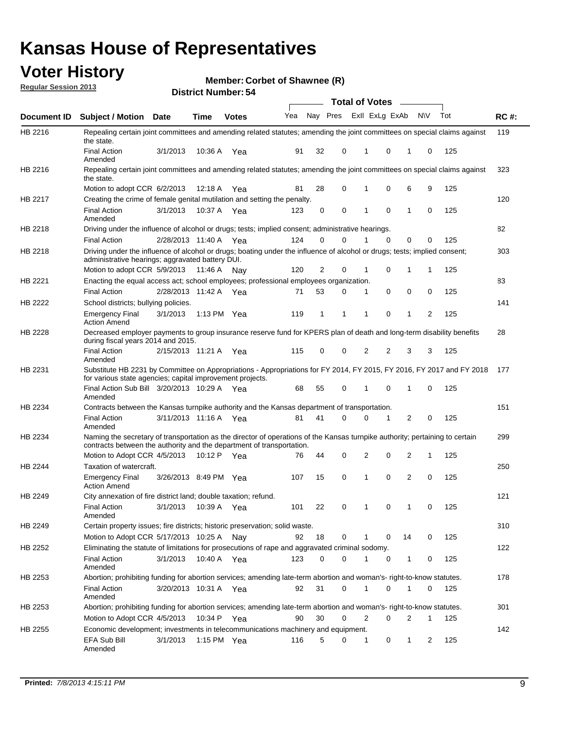## **Voter History**

**Member: Corbet of Shawnee (R)** 

**Regular Session 2013**

|             |                                                                                                                                                                                                               |                       |               |              |     |          |          | <b>Total of Votes</b> |          | $\overline{\phantom{a}}$ |           |     |             |
|-------------|---------------------------------------------------------------------------------------------------------------------------------------------------------------------------------------------------------------|-----------------------|---------------|--------------|-----|----------|----------|-----------------------|----------|--------------------------|-----------|-----|-------------|
| Document ID | Subject / Motion Date                                                                                                                                                                                         |                       | <b>Time</b>   | <b>Votes</b> | Yea | Nay Pres |          | Exll ExLg ExAb        |          |                          | <b>NV</b> | Tot | <b>RC#:</b> |
| HB 2216     | Repealing certain joint committees and amending related statutes; amending the joint committees on special claims against<br>the state.                                                                       |                       |               |              |     |          |          |                       |          |                          |           |     | 119         |
|             | <b>Final Action</b><br>Amended                                                                                                                                                                                | 3/1/2013              | 10:36 A       | Yea          | 91  | 32       | 0        | 1                     | 0        | 1                        | 0         | 125 |             |
| HB 2216     | Repealing certain joint committees and amending related statutes; amending the joint committees on special claims against<br>the state.                                                                       |                       |               |              |     |          |          |                       |          |                          |           |     | 323         |
|             | Motion to adopt CCR 6/2/2013                                                                                                                                                                                  |                       | 12:18 A       | Yea          | 81  | 28       | 0        | 1                     | 0        | 6                        | 9         | 125 |             |
| HB 2217     | Creating the crime of female genital mutilation and setting the penalty.                                                                                                                                      |                       |               |              |     |          |          |                       |          |                          |           |     | 120         |
|             | <b>Final Action</b><br>Amended                                                                                                                                                                                | 3/1/2013              | 10:37 A Yea   |              | 123 | 0        | 0        | 1                     | 0        | 1                        | 0         | 125 |             |
| HB 2218     | Driving under the influence of alcohol or drugs; tests; implied consent; administrative hearings.                                                                                                             |                       |               |              |     |          |          |                       |          |                          |           |     | 82          |
|             | <b>Final Action</b>                                                                                                                                                                                           | 2/28/2013 11:40 A Yea |               |              | 124 | 0        | $\Omega$ |                       | $\Omega$ | 0                        | 0         | 125 |             |
| HB 2218     | Driving under the influence of alcohol or drugs; boating under the influence of alcohol or drugs; tests; implied consent;<br>administrative hearings; aggravated battery DUI.<br>Motion to adopt CCR 5/9/2013 |                       | 11:46 A Nay   |              | 120 | 2        | 0        | 1                     | 0        | 1                        | 1         | 125 | 303         |
| HB 2221     | Enacting the equal access act; school employees; professional employees organization.                                                                                                                         |                       |               |              |     |          |          |                       |          |                          |           |     | 83          |
|             | <b>Final Action</b>                                                                                                                                                                                           | 2/28/2013 11:42 A     |               | Yea          | 71  | 53       | 0        | 1                     | 0        | 0                        | 0         | 125 |             |
|             | School districts; bullying policies.                                                                                                                                                                          |                       |               |              |     |          |          |                       |          |                          |           |     | 141         |
| HB 2222     | Emergency Final<br><b>Action Amend</b>                                                                                                                                                                        | 3/1/2013              | 1:13 PM $Yea$ |              | 119 | 1        | 1        | 1                     | 0        | 1                        | 2         | 125 |             |
| HB 2228     | Decreased employer payments to group insurance reserve fund for KPERS plan of death and long-term disability benefits<br>during fiscal years 2014 and 2015.                                                   |                       |               |              |     |          |          |                       |          |                          |           |     | 28          |
|             | <b>Final Action</b><br>Amended                                                                                                                                                                                | 2/15/2013 11:21 A Yea |               |              | 115 | 0        | 0        | 2                     | 2        | 3                        | 3         | 125 |             |
| HB 2231     | Substitute HB 2231 by Committee on Appropriations - Appropriations for FY 2014, FY 2015, FY 2016, FY 2017 and FY 2018 177<br>for various state agencies; capital improvement projects.                        |                       |               |              |     |          |          |                       |          |                          |           |     |             |
|             | Final Action Sub Bill 3/20/2013 10:29 A Yea<br>Amended                                                                                                                                                        |                       |               |              | 68  | 55       | 0        | 1                     | 0        | 1                        | 0         | 125 |             |
| HB 2234     | Contracts between the Kansas turnpike authority and the Kansas department of transportation.                                                                                                                  |                       |               |              |     |          |          |                       |          |                          |           |     | 151         |
|             | <b>Final Action</b><br>Amended                                                                                                                                                                                | 3/11/2013 11:16 A     |               | Yea          | 81  | 41       | 0        | 0                     | 1        | 2                        | 0         | 125 |             |
| HB 2234     | Naming the secretary of transportation as the director of operations of the Kansas turnpike authority; pertaining to certain<br>contracts between the authority and the department of transportation.         |                       |               |              |     |          |          |                       |          |                          |           |     | 299         |
|             | Motion to Adopt CCR 4/5/2013                                                                                                                                                                                  |                       | 10:12 P Yea   |              | 76  | 44       | 0        | 2                     | 0        | 2                        | 1         | 125 |             |
| HB 2244     | Taxation of watercraft.<br><b>Emergency Final</b>                                                                                                                                                             | 3/26/2013 8:49 PM Yea |               |              | 107 | 15       | 0        | 1                     | 0        | 2                        | 0         | 125 | 250         |
|             | <b>Action Amend</b>                                                                                                                                                                                           |                       |               |              |     |          |          |                       |          |                          |           |     |             |
| HB 2249     | City annexation of fire district land; double taxation; refund.<br>Final Action<br>Amended                                                                                                                    | 3/1/2013 10:39 A Yea  |               |              | 101 | 22       | 0        | $\mathbf{1}$          | $\cap$   | 1                        | $\Omega$  | 125 | 121         |
| HB 2249     | Certain property issues; fire districts; historic preservation; solid waste.                                                                                                                                  |                       |               |              |     |          |          |                       |          |                          |           |     | 310         |
|             | Motion to Adopt CCR 5/17/2013 10:25 A Nav                                                                                                                                                                     |                       |               |              | 92  | 18       | 0        |                       | 0        | 14                       | 0         | 125 |             |
|             | Eliminating the statute of limitations for prosecutions of rape and aggravated criminal sodomy.                                                                                                               |                       |               |              |     |          |          |                       |          |                          |           |     | 122         |
| HB 2252     |                                                                                                                                                                                                               | 3/1/2013              |               |              | 123 | $\Omega$ | 0        |                       | 0        |                          |           | 125 |             |
|             | <b>Final Action</b><br>Amended                                                                                                                                                                                |                       | 10:40 A Yea   |              |     |          |          |                       |          | 1                        | 0         |     |             |
| HB 2253     | Abortion; prohibiting funding for abortion services; amending late-term abortion and woman's- right-to-know statutes.                                                                                         |                       |               |              |     |          |          |                       |          |                          |           |     | 178         |
|             | <b>Final Action</b><br>Amended                                                                                                                                                                                | 3/20/2013 10:31 A Yea |               |              | 92  | 31       | 0        | 1                     | 0        | 1                        | 0         | 125 |             |
| HB 2253     | Abortion; prohibiting funding for abortion services; amending late-term abortion and woman's- right-to-know statutes.                                                                                         |                       |               |              |     |          |          |                       |          |                          |           |     | 301         |
|             | Motion to Adopt CCR 4/5/2013                                                                                                                                                                                  |                       | 10:34 P Yea   |              | 90  | 30       | 0        | 2                     | 0        | 2                        | 1         | 125 |             |
| HB 2255     | Economic development; investments in telecommunications machinery and equipment.                                                                                                                              |                       |               |              |     |          |          |                       |          |                          |           |     | 142         |
|             | EFA Sub Bill<br>Amended                                                                                                                                                                                       | 3/1/2013              | 1:15 PM Yea   |              | 116 | 5        | 0        | -1                    | 0        | 1                        | 2         | 125 |             |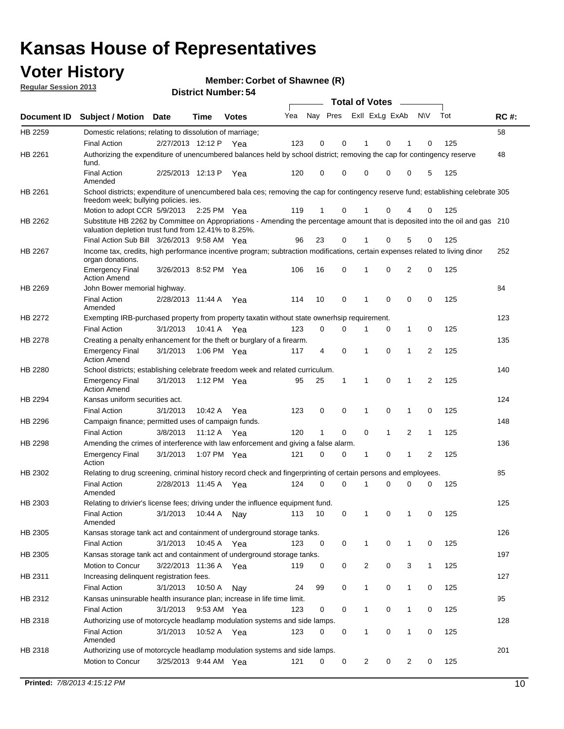## **Voter History**

**Member: Corbet of Shawnee (R)** 

**Regular Session 2013**

|                    |                                                                                                                                                                                       |                       | רט . וסעווואזו וטווע |              |     |                         |             | <b>Total of Votes</b> |              | $\sim$         |              |     |             |
|--------------------|---------------------------------------------------------------------------------------------------------------------------------------------------------------------------------------|-----------------------|----------------------|--------------|-----|-------------------------|-------------|-----------------------|--------------|----------------|--------------|-----|-------------|
| <b>Document ID</b> | <b>Subject / Motion</b>                                                                                                                                                               | Date                  | Time                 | <b>Votes</b> | Yea | Nay Pres Exll ExLg ExAb |             |                       |              |                | N\V          | Tot | <b>RC#:</b> |
| HB 2259            | Domestic relations; relating to dissolution of marriage;                                                                                                                              |                       |                      |              |     |                         |             |                       |              |                |              |     | 58          |
|                    | <b>Final Action</b>                                                                                                                                                                   | 2/27/2013 12:12 P     |                      | Yea          | 123 | 0                       | 0           | 1                     | 0            | 1              | $\Omega$     | 125 |             |
| HB 2261            | Authorizing the expenditure of unencumbered balances held by school district; removing the cap for contingency reserve<br>fund.                                                       |                       |                      |              |     |                         |             |                       |              |                |              |     | 48          |
|                    | <b>Final Action</b><br>Amended                                                                                                                                                        | 2/25/2013 12:13 P     |                      | Yea          | 120 | 0                       | 0           | 0                     | 0            | 0              | 5            | 125 |             |
| HB 2261            | School districts; expenditure of unencumbered bala ces; removing the cap for contingency reserve fund; establishing celebrate 305<br>freedom week; bullying policies. ies.            |                       |                      |              |     |                         |             |                       |              |                |              |     |             |
|                    | Motion to adopt CCR 5/9/2013                                                                                                                                                          |                       | 2:25 PM Yea          |              | 119 | 1                       | 0           |                       | 0            | 4              | 0            | 125 |             |
| HB 2262            | Substitute HB 2262 by Committee on Appropriations - Amending the percentage amount that is deposited into the oil and gas 210<br>valuation depletion trust fund from 12.41% to 8.25%. |                       |                      |              |     |                         |             |                       |              |                |              |     |             |
|                    | Final Action Sub Bill 3/26/2013 9:58 AM Yea                                                                                                                                           |                       |                      |              | 96  | 23                      | 0           |                       | 0            | 5              | 0            | 125 |             |
| HB 2267            | Income tax, credits, high performance incentive program; subtraction modifications, certain expenses related to living dinor<br>organ donations.                                      |                       |                      |              |     |                         |             |                       |              |                |              |     | 252         |
|                    | <b>Emergency Final</b><br><b>Action Amend</b>                                                                                                                                         | 3/26/2013 8:52 PM Yea |                      |              | 106 | 16                      | 0           | 1                     | 0            | 2              | 0            | 125 |             |
| HB 2269            | John Bower memorial highway.                                                                                                                                                          |                       |                      |              |     |                         |             |                       |              |                |              |     | 84          |
|                    | <b>Final Action</b><br>Amended                                                                                                                                                        | 2/28/2013 11:44 A Yea |                      |              | 114 | 10                      | 0           | 1                     | 0            | 0              | 0            | 125 |             |
| HB 2272            | Exempting IRB-purchased property from property taxatin without state ownerhsip requirement.                                                                                           |                       |                      |              |     |                         |             |                       |              |                |              |     | 123         |
|                    | <b>Final Action</b>                                                                                                                                                                   | 3/1/2013              | 10:41 A Yea          |              | 123 | 0                       | 0           | 1                     | 0            | $\mathbf{1}$   | 0            | 125 |             |
| HB 2278            | Creating a penalty enhancement for the theft or burglary of a firearm.                                                                                                                |                       |                      |              |     |                         |             |                       |              |                |              |     | 135         |
|                    | <b>Emergency Final</b><br><b>Action Amend</b>                                                                                                                                         | 3/1/2013              | 1:06 PM Yea          |              | 117 | 4                       | $\mathbf 0$ | $\mathbf 1$           | $\Omega$     | 1              | 2            | 125 |             |
| HB 2280            | School districts; establishing celebrate freedom week and related curriculum.                                                                                                         |                       |                      |              |     |                         |             |                       |              |                |              |     | 140         |
|                    | <b>Emergency Final</b><br><b>Action Amend</b>                                                                                                                                         | 3/1/2013              | 1:12 PM Yea          |              | 95  | 25                      | 1           | 1                     | 0            | 1              | 2            | 125 |             |
| HB 2294            | Kansas uniform securities act.                                                                                                                                                        |                       |                      |              |     |                         |             |                       |              |                |              |     | 124         |
|                    | <b>Final Action</b>                                                                                                                                                                   | 3/1/2013              | 10:42 A Yea          |              | 123 | 0                       | 0           | 1                     | $\mathbf 0$  | $\mathbf{1}$   | 0            | 125 |             |
| HB 2296            | Campaign finance; permitted uses of campaign funds.                                                                                                                                   |                       |                      |              |     |                         |             |                       |              |                |              |     | 148         |
|                    | <b>Final Action</b>                                                                                                                                                                   | 3/8/2013              | 11:12 A Yea          |              | 120 | $\mathbf{1}$            | 0           | 0                     | $\mathbf{1}$ | $\overline{2}$ | $\mathbf{1}$ | 125 |             |
| HB 2298            | Amending the crimes of interference with law enforcement and giving a false alarm.                                                                                                    |                       |                      |              |     |                         |             |                       |              |                |              |     | 136         |
|                    | <b>Emergency Final</b><br>Action                                                                                                                                                      | 3/1/2013              | 1:07 PM Yea          |              | 121 | 0                       | 0           | 1                     | 0            | $\mathbf{1}$   | 2            | 125 |             |
| HB 2302            | Relating to drug screening, criminal history record check and fingerprinting of certain persons and employees.                                                                        |                       |                      |              |     |                         |             |                       |              |                |              |     | 85          |
|                    | <b>Final Action</b><br>Amended                                                                                                                                                        | 2/28/2013 11:45 A Yea |                      |              | 124 | 0                       | $\Omega$    | 1                     | 0            | 0              | $\mathbf 0$  | 125 |             |
| HB 2303            | Relating to drivier's license fees; driving under the influence equipment fund.                                                                                                       |                       |                      |              |     |                         |             |                       |              |                |              |     | 125         |
|                    | <b>Final Action</b><br>Amended                                                                                                                                                        | 3/1/2013              | 10:44 A              | Nay          | 113 | 10                      | 0           | $\mathbf 1$           | 0            | 1              | 0            | 125 |             |
| HB 2305            | Kansas storage tank act and containment of underground storage tanks.                                                                                                                 |                       |                      |              |     |                         |             |                       |              |                |              |     | 126         |
|                    | <b>Final Action</b>                                                                                                                                                                   | 3/1/2013              | 10:45 A              | Yea          | 123 | 0                       | 0           | 1                     | 0            | $\mathbf{1}$   | 0            | 125 |             |
| HB 2305            | Kansas storage tank act and containment of underground storage tanks.                                                                                                                 |                       |                      |              |     |                         |             |                       |              |                |              |     | 197         |
|                    | Motion to Concur                                                                                                                                                                      | 3/22/2013 11:36 A     |                      | Yea          | 119 | 0                       | 0           | 2                     | 0            | 3              | $\mathbf{1}$ | 125 |             |
| HB 2311            | Increasing delinquent registration fees.                                                                                                                                              |                       |                      |              |     |                         |             |                       |              |                |              |     | 127         |
|                    | <b>Final Action</b>                                                                                                                                                                   | 3/1/2013              | 10:50 A              | Nay          | 24  | 99                      | 0           | $\mathbf{1}$          | 0            | $\mathbf{1}$   | 0            | 125 |             |
| HB 2312            | Kansas uninsurable health insurance plan; increase in life time limit.                                                                                                                |                       |                      |              |     |                         |             |                       |              |                |              |     | 95          |
|                    | <b>Final Action</b>                                                                                                                                                                   | 3/1/2013              | 9:53 AM Yea          |              | 123 | 0                       | 0           | 1                     | 0            | 1              | 0            | 125 |             |
| HB 2318            | Authorizing use of motorcycle headlamp modulation systems and side lamps.                                                                                                             |                       |                      |              |     |                         |             |                       |              |                |              |     | 128         |
|                    | <b>Final Action</b><br>Amended                                                                                                                                                        | 3/1/2013              | 10:52 A              | Yea          | 123 | 0                       | 0           | 1                     | 0            | 1              | 0            | 125 |             |
| HB 2318            | Authorizing use of motorcycle headlamp modulation systems and side lamps.                                                                                                             |                       |                      |              |     |                         |             |                       |              |                |              |     | 201         |
|                    | Motion to Concur                                                                                                                                                                      | 3/25/2013 9:44 AM Yea |                      |              | 121 | 0                       | 0           | 2                     | 0            | $\overline{2}$ | 0            | 125 |             |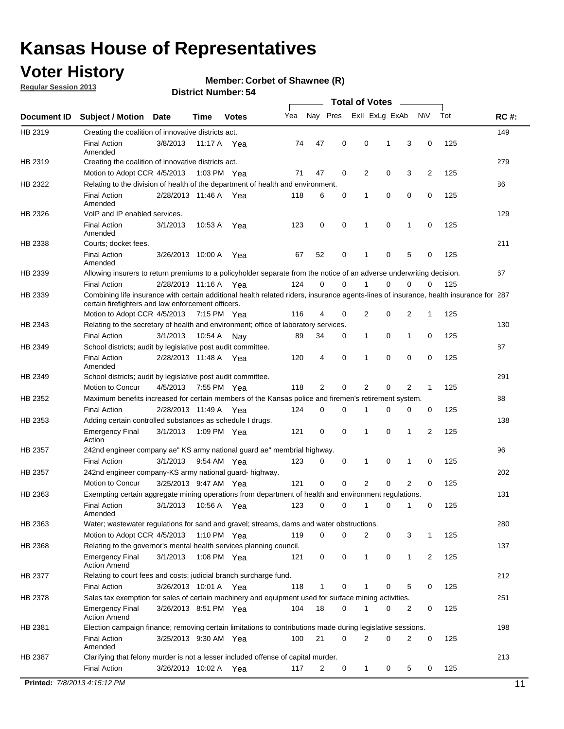## **Voter History**

**Member: Corbet of Shawnee (R)** 

**Regular Session 2013**

**District Number: 54**

|             |                                                                                                                                                                                             |                       |         |              |     |                |   | <b>Total of Votes</b> |             |                |              |     |             |
|-------------|---------------------------------------------------------------------------------------------------------------------------------------------------------------------------------------------|-----------------------|---------|--------------|-----|----------------|---|-----------------------|-------------|----------------|--------------|-----|-------------|
| Document ID | <b>Subject / Motion</b>                                                                                                                                                                     | <b>Date</b>           | Time    | <b>Votes</b> | Yea | Nay Pres       |   | Exll ExLg ExAb        |             |                | <b>NV</b>    | Tot | <b>RC#:</b> |
| HB 2319     | Creating the coalition of innovative districts act.                                                                                                                                         |                       |         |              |     |                |   |                       |             |                |              |     | 149         |
|             | <b>Final Action</b><br>Amended                                                                                                                                                              | 3/8/2013              |         | 11:17 A Yea  | 74  | 47             | 0 | 0                     | 1           | 3              | 0            | 125 |             |
| HB 2319     | Creating the coalition of innovative districts act.                                                                                                                                         |                       |         |              |     |                |   |                       |             |                |              |     | 279         |
|             | Motion to Adopt CCR 4/5/2013                                                                                                                                                                |                       |         | 1:03 PM Yea  | 71  | 47             | 0 | 2                     | 0           | 3              | 2            | 125 |             |
| HB 2322     | Relating to the division of health of the department of health and environment.                                                                                                             |                       |         |              |     |                |   |                       |             |                |              |     | 86          |
|             | <b>Final Action</b><br>Amended                                                                                                                                                              | 2/28/2013 11:46 A Yea |         |              | 118 | 6              | 0 | 1                     | 0           | 0              | 0            | 125 |             |
| HB 2326     | VoIP and IP enabled services.                                                                                                                                                               |                       |         |              |     |                |   |                       |             |                |              |     | 129         |
|             | <b>Final Action</b><br>Amended                                                                                                                                                              | 3/1/2013              | 10:53 A | Yea          | 123 | 0              | 0 | 1                     | $\mathbf 0$ | 1              | 0            | 125 |             |
| HB 2338     | Courts; docket fees.                                                                                                                                                                        |                       |         |              |     |                |   |                       |             |                |              |     | 211         |
|             | <b>Final Action</b><br>Amended                                                                                                                                                              | 3/26/2013 10:00 A     |         | Yea          | 67  | 52             | 0 | 1                     | 0           | 5              | 0            | 125 |             |
| HB 2339     | Allowing insurers to return premiums to a policyholder separate from the notice of an adverse underwriting decision.                                                                        |                       |         |              |     |                |   |                       |             |                |              |     | 67          |
|             | <b>Final Action</b>                                                                                                                                                                         | 2/28/2013 11:16 A Yea |         |              | 124 | 0              | 0 | 1                     | 0           | 0              | 0            | 125 |             |
| HB 2339     | Combining life insurance with certain additional health related riders, insurance agents-lines of insurance, health insurance for 287<br>certain firefighters and law enforcement officers. |                       |         |              |     |                |   |                       |             |                |              |     |             |
|             | Motion to Adopt CCR 4/5/2013 7:15 PM Yea                                                                                                                                                    |                       |         |              | 116 | 4              | 0 | 2                     | 0           | 2              | 1            | 125 |             |
| HB 2343     | Relating to the secretary of health and environment; office of laboratory services.                                                                                                         |                       |         |              |     |                |   |                       |             |                |              |     | 130         |
|             | <b>Final Action</b>                                                                                                                                                                         | 3/1/2013              | 10:54 A | Nav          | 89  | 34             | 0 | 1                     | 0           | 1              | 0            | 125 |             |
| HB 2349     | School districts; audit by legislative post audit committee.                                                                                                                                |                       |         |              |     |                |   |                       |             |                |              |     | 87          |
|             | <b>Final Action</b><br>Amended                                                                                                                                                              | 2/28/2013 11:48 A Yea |         |              | 120 | $\overline{4}$ | 0 | 1                     | 0           | 0              | $\mathbf 0$  | 125 |             |
| HB 2349     | School districts; audit by legislative post audit committee.                                                                                                                                |                       |         |              |     |                |   |                       |             |                |              |     | 291         |
|             | Motion to Concur                                                                                                                                                                            | 4/5/2013              |         | 7:55 PM Yea  | 118 | 2              | 0 | 2                     | 0           | 2              | $\mathbf{1}$ | 125 |             |
| HB 2352     | Maximum benefits increased for certain members of the Kansas police and firemen's retirement system.                                                                                        |                       |         |              |     |                |   |                       |             |                |              |     | 88          |
|             | <b>Final Action</b>                                                                                                                                                                         | 2/28/2013 11:49 A     |         | Yea          | 124 | 0              | 0 | 1                     | 0           | 0              | 0            | 125 |             |
| HB 2353     | Adding certain controlled substances as schedule I drugs.                                                                                                                                   |                       |         |              |     |                |   |                       |             |                |              |     | 138         |
|             | <b>Emergency Final</b><br>Action                                                                                                                                                            | 3/1/2013              |         | 1:09 PM Yea  | 121 | 0              | 0 | $\mathbf 1$           | 0           | 1              | 2            | 125 |             |
| HB 2357     | 242nd engineer company ae" KS army national guard ae" membrial highway.                                                                                                                     |                       |         |              |     |                |   |                       |             |                |              |     | 96          |
|             | <b>Final Action</b>                                                                                                                                                                         | 3/1/2013              |         | 9:54 AM Yea  | 123 | 0              | 0 | 1                     | 0           | 1              | 0            | 125 |             |
| HB 2357     | 242nd engineer company-KS army national guard- highway.                                                                                                                                     |                       |         |              |     |                |   |                       |             |                |              |     | 202         |
|             | Motion to Concur                                                                                                                                                                            | 3/25/2013 9:47 AM Yea |         |              | 121 | $\mathbf 0$    | 0 | 2                     | 0           | $\overline{2}$ | 0            | 125 |             |
| HB 2363     | Exempting certain aggregate mining operations from department of health and environment regulations.                                                                                        |                       |         |              |     |                |   |                       |             |                |              |     | 131         |
|             | <b>Final Action</b><br>Amended                                                                                                                                                              | 3/1/2013              |         | 10:56 A Yea  | 123 | 0              | 0 | $\mathbf{1}$          | 0           | 1              | 0            | 125 |             |
| HB 2363     | Water; wastewater regulations for sand and gravel; streams, dams and water obstructions.                                                                                                    |                       |         |              |     |                |   |                       |             |                |              |     | 280         |
|             | Motion to Adopt CCR 4/5/2013                                                                                                                                                                |                       |         | 1:10 PM Yea  | 119 | 0              | 0 | 2                     | 0           | 3              | 1            | 125 |             |
| HB 2368     | Relating to the governor's mental health services planning council.                                                                                                                         |                       |         |              |     |                |   |                       |             |                |              |     | 137         |
|             | <b>Emergency Final</b><br><b>Action Amend</b>                                                                                                                                               | 3/1/2013              |         | 1:08 PM Yea  | 121 | 0              | 0 | 1                     | 0           | 1              | 2            | 125 |             |
| HB 2377     | Relating to court fees and costs; judicial branch surcharge fund.                                                                                                                           |                       |         |              |     |                |   |                       |             |                |              |     | 212         |
|             | <b>Final Action</b>                                                                                                                                                                         | 3/26/2013 10:01 A Yea |         |              | 118 | 1              | 0 | 1                     | 0           | 5              | 0            | 125 |             |
| HB 2378     | Sales tax exemption for sales of certain machinery and equipment used for surface mining activities.                                                                                        |                       |         |              |     |                |   |                       |             |                |              |     | 251         |
|             | <b>Emergency Final</b><br><b>Action Amend</b>                                                                                                                                               | 3/26/2013 8:51 PM Yea |         |              | 104 | 18             | 0 | 1                     | 0           | 2              | 0            | 125 |             |
| HB 2381     | Election campaign finance; removing certain limitations to contributions made during legislative sessions.                                                                                  |                       |         |              |     |                |   |                       |             |                |              |     | 198         |
|             | <b>Final Action</b><br>Amended                                                                                                                                                              | 3/25/2013 9:30 AM Yea |         |              | 100 | 21             | 0 | 2                     | 0           | $\overline{2}$ | 0            | 125 |             |
| HB 2387     | Clarifying that felony murder is not a lesser included offense of capital murder.<br><b>Final Action</b>                                                                                    | 3/26/2013 10:02 A Yea |         |              | 117 | 2              | 0 | $\mathbf 1$           | 0           | 5              | 0            | 125 | 213         |
|             |                                                                                                                                                                                             |                       |         |              |     |                |   |                       |             |                |              |     |             |

**Printed:**  $7/8/20134:15:12 \text{ PM}$  11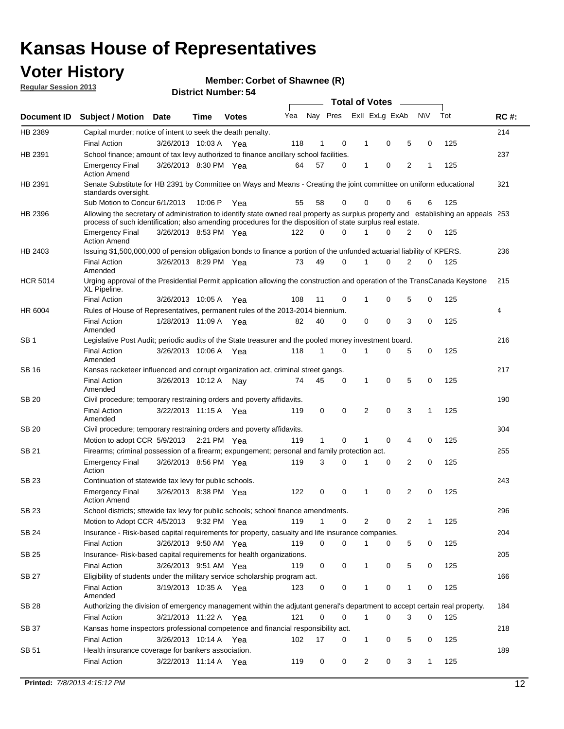## **Voter History**

**Member: Corbet of Shawnee (R)** 

**Regular Session 2013**

|                 |                                                                                                                                                                                                                                                  |                       |        | ט ו וסעווואר ועוווסוע |     |              |          |                | <b>Total of Votes</b>   | $\overline{\phantom{a}}$ |              |     |             |
|-----------------|--------------------------------------------------------------------------------------------------------------------------------------------------------------------------------------------------------------------------------------------------|-----------------------|--------|-----------------------|-----|--------------|----------|----------------|-------------------------|--------------------------|--------------|-----|-------------|
| Document ID     | <b>Subject / Motion Date</b>                                                                                                                                                                                                                     |                       | Time   | <b>Votes</b>          | Yea |              |          |                | Nay Pres Exll ExLg ExAb |                          | <b>NV</b>    | Tot | <b>RC#:</b> |
| HB 2389         | Capital murder; notice of intent to seek the death penalty.                                                                                                                                                                                      |                       |        |                       |     |              |          |                |                         |                          |              |     | 214         |
|                 | <b>Final Action</b>                                                                                                                                                                                                                              | 3/26/2013 10:03 A Yea |        |                       | 118 | 1            | 0        | 1              | 0                       | 5                        | 0            | 125 |             |
| HB 2391         | School finance; amount of tax levy authorized to finance ancillary school facilities.                                                                                                                                                            |                       |        |                       |     |              |          |                |                         |                          |              |     | 237         |
|                 | <b>Emergency Final</b><br><b>Action Amend</b>                                                                                                                                                                                                    | 3/26/2013 8:30 PM Yea |        |                       | 64  | 57           | 0        | $\mathbf 1$    | 0                       | 2                        | 1            | 125 |             |
| HB 2391         | Senate Substitute for HB 2391 by Committee on Ways and Means - Creating the joint committee on uniform educational<br>standards oversight.                                                                                                       |                       |        |                       |     |              |          |                |                         |                          |              |     | 321         |
|                 | Sub Motion to Concur 6/1/2013                                                                                                                                                                                                                    |                       | 10:06P | Yea                   | 55  | 58           | 0        | 0              | 0                       | 6                        | 6            | 125 |             |
| HB 2396         | Allowing the secretary of administration to identify state owned real property as surplus property and establishing an appeals 253<br>process of such identification; also amending procedures for the disposition of state surplus real estate. |                       |        |                       |     |              |          |                |                         |                          |              |     |             |
|                 | <b>Emergency Final</b><br><b>Action Amend</b>                                                                                                                                                                                                    | 3/26/2013 8:53 PM Yea |        |                       | 122 | 0            | 0        |                | O                       | 2                        | 0            | 125 |             |
| HB 2403         | Issuing \$1,500,000,000 of pension obligation bonds to finance a portion of the unfunded actuarial liability of KPERS.                                                                                                                           |                       |        |                       |     |              |          |                |                         |                          |              |     | 236         |
|                 | <b>Final Action</b><br>Amended                                                                                                                                                                                                                   | 3/26/2013 8:29 PM Yea |        |                       | 73  | 49           | 0        | 1              | 0                       | $\overline{2}$           | 0            | 125 |             |
| <b>HCR 5014</b> | Urging approval of the Presidential Permit application allowing the construction and operation of the TransCanada Keystone<br>XL Pipeline.                                                                                                       |                       |        |                       |     |              |          |                |                         |                          |              |     | 215         |
|                 | <b>Final Action</b>                                                                                                                                                                                                                              | 3/26/2013 10:05 A     |        | Yea                   | 108 | 11           | 0        | 1              | 0                       | 5                        | 0            | 125 |             |
| HR 6004         | Rules of House of Representatives, permanent rules of the 2013-2014 biennium.                                                                                                                                                                    |                       |        |                       |     |              |          |                |                         |                          |              |     | 4           |
|                 | <b>Final Action</b><br>Amended                                                                                                                                                                                                                   | 1/28/2013 11:09 A Yea |        |                       | 82  | 40           | 0        | 0              | 0                       | 3                        | 0            | 125 |             |
| SB <sub>1</sub> | Legislative Post Audit; periodic audits of the State treasurer and the pooled money investment board.                                                                                                                                            |                       |        |                       |     |              |          |                |                         |                          |              |     | 216         |
|                 | <b>Final Action</b><br>Amended                                                                                                                                                                                                                   | 3/26/2013 10:06 A     |        | Yea                   | 118 | 1            | $\Omega$ | 1              | 0                       | 5                        | 0            | 125 |             |
| SB 16           | Kansas racketeer influenced and corrupt organization act, criminal street gangs.                                                                                                                                                                 |                       |        |                       |     |              |          |                |                         |                          |              |     | 217         |
|                 | <b>Final Action</b><br>Amended                                                                                                                                                                                                                   | 3/26/2013 10:12 A     |        | Nav                   | 74  | 45           | 0        | $\mathbf{1}$   | 0                       | 5                        | 0            | 125 |             |
| <b>SB 20</b>    | Civil procedure; temporary restraining orders and poverty affidavits.                                                                                                                                                                            |                       |        |                       |     |              |          |                |                         |                          |              |     | 190         |
|                 | <b>Final Action</b><br>Amended                                                                                                                                                                                                                   | 3/22/2013 11:15 A     |        | Yea                   | 119 | 0            | 0        | $\overline{2}$ | 0                       | 3                        | $\mathbf{1}$ | 125 |             |
| SB 20           | Civil procedure; temporary restraining orders and poverty affidavits.                                                                                                                                                                            |                       |        |                       |     |              |          |                |                         |                          |              |     | 304         |
|                 | Motion to adopt CCR 5/9/2013                                                                                                                                                                                                                     |                       |        | 2:21 PM $Yea$         | 119 | $\mathbf{1}$ | 0        | 1              | 0                       | 4                        | 0            | 125 |             |
| SB 21           | Firearms; criminal possession of a firearm; expungement; personal and family protection act.                                                                                                                                                     |                       |        |                       |     |              |          |                |                         |                          |              |     | 255         |
|                 | <b>Emergency Final</b><br>Action                                                                                                                                                                                                                 | 3/26/2013 8:56 PM Yea |        |                       | 119 | 3            | 0        | 1              | 0                       | 2                        | 0            | 125 |             |
| <b>SB 23</b>    | Continuation of statewide tax levy for public schools.                                                                                                                                                                                           |                       |        |                       |     |              |          |                |                         |                          |              |     | 243         |
|                 | <b>Emergency Final</b><br><b>Action Amend</b>                                                                                                                                                                                                    | 3/26/2013 8:38 PM Yea |        |                       | 122 | 0            | 0        | 1              | 0                       | 2                        | 0            | 125 |             |
| SB 23           | School districts; sttewide tax levy for public schools; school finance amendments.                                                                                                                                                               |                       |        |                       |     |              |          |                |                         |                          |              |     | 296         |
|                 | Motion to Adopt CCR 4/5/2013                                                                                                                                                                                                                     |                       |        | 9:32 PM Yea           | 119 | 1            | 0        |                | 2<br>0                  | 2                        | 1            | 125 |             |
| <b>SB 24</b>    | Insurance - Risk-based capital requirements for property, casualty and life insurance companies.                                                                                                                                                 |                       |        |                       |     |              |          |                |                         |                          |              |     | 204         |
|                 | <b>Final Action</b>                                                                                                                                                                                                                              | 3/26/2013 9:50 AM Yea |        |                       | 119 | 0            | 0        | 1              | 0                       | 5                        | 0            | 125 |             |
| <b>SB 25</b>    | Insurance-Risk-based capital requirements for health organizations.                                                                                                                                                                              |                       |        |                       |     |              |          |                |                         |                          |              |     | 205         |
|                 | <b>Final Action</b>                                                                                                                                                                                                                              | 3/26/2013 9:51 AM Yea |        |                       | 119 | 0            | 0        | 1              | 0                       | 5                        | 0            | 125 |             |
| <b>SB 27</b>    | Eligibility of students under the military service scholarship program act.                                                                                                                                                                      |                       |        |                       |     |              |          |                |                         |                          |              |     | 166         |
|                 | <b>Final Action</b><br>Amended                                                                                                                                                                                                                   | 3/19/2013 10:35 A Yea |        |                       | 123 | 0            | 0        |                | 0                       | 1                        | 0            | 125 |             |
| SB 28           | Authorizing the division of emergency management within the adjutant general's department to accept certain real property.                                                                                                                       |                       |        |                       |     |              |          |                |                         |                          |              |     | 184         |
|                 | <b>Final Action</b>                                                                                                                                                                                                                              | 3/21/2013 11:22 A Yea |        |                       | 121 | 0            | 0        | $\mathbf{1}$   | 0                       | 3                        | 0            | 125 |             |
| SB 37           | Kansas home inspectors professional competence and financial responsibility act.                                                                                                                                                                 |                       |        |                       |     |              |          |                |                         |                          |              |     | 218         |
|                 | <b>Final Action</b>                                                                                                                                                                                                                              | 3/26/2013 10:14 A Yea |        |                       | 102 | 17           | 0        | 1              | 0                       | 5                        | 0            | 125 |             |
| SB 51           | Health insurance coverage for bankers association.                                                                                                                                                                                               |                       |        |                       |     |              |          |                |                         |                          |              |     | 189         |
|                 | <b>Final Action</b>                                                                                                                                                                                                                              | 3/22/2013 11:14 A Yea |        |                       | 119 | 0            | 0        |                | $\overline{2}$<br>0     | 3                        | 1            | 125 |             |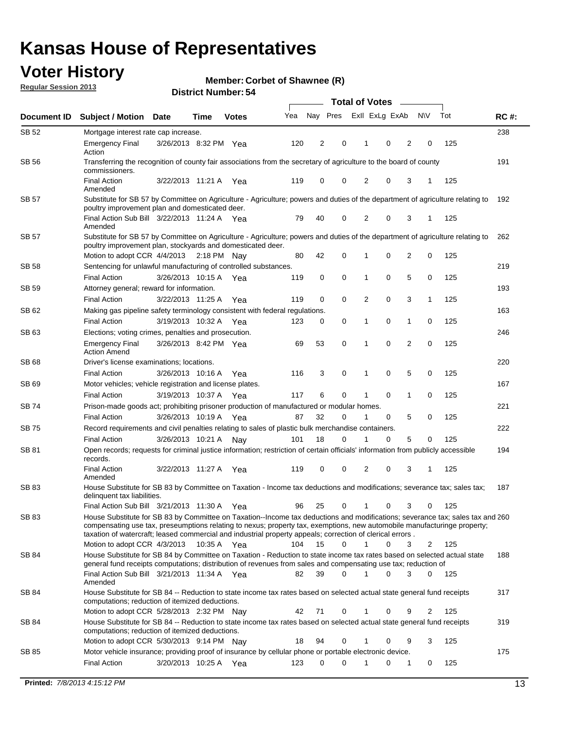## **Voter History**

**Member: Corbet of Shawnee (R)** 

**Regular Session 2013**

| Document ID  | <b>Subject / Motion</b>                                                                                                                                                                                                                                                                                                                                                                                 | <b>Date</b>           | Time        | <b>Votes</b> | Yea | Nay Pres |          | Exll ExLg ExAb |   |                | <b>NV</b>   | Tot | <b>RC#:</b> |
|--------------|---------------------------------------------------------------------------------------------------------------------------------------------------------------------------------------------------------------------------------------------------------------------------------------------------------------------------------------------------------------------------------------------------------|-----------------------|-------------|--------------|-----|----------|----------|----------------|---|----------------|-------------|-----|-------------|
| SB 52        | Mortgage interest rate cap increase.                                                                                                                                                                                                                                                                                                                                                                    |                       |             |              |     |          |          |                |   |                |             |     | 238         |
|              | <b>Emergency Final</b><br>Action                                                                                                                                                                                                                                                                                                                                                                        | 3/26/2013 8:32 PM Yea |             |              | 120 | 2        | 0        | 1              | 0 | 2              | 0           | 125 |             |
| <b>SB 56</b> | Transferring the recognition of county fair associations from the secretary of agriculture to the board of county<br>commissioners.                                                                                                                                                                                                                                                                     |                       |             |              |     |          |          |                |   |                |             |     | 191         |
|              | <b>Final Action</b><br>Amended                                                                                                                                                                                                                                                                                                                                                                          | 3/22/2013 11:21 A     |             | Yea          | 119 | 0        | 0        | 2              | 0 | 3              | 1           | 125 |             |
| <b>SB 57</b> | Substitute for SB 57 by Committee on Agriculture - Agriculture; powers and duties of the department of agriculture relating to<br>poultry improvement plan and domesticated deer.                                                                                                                                                                                                                       |                       |             |              |     |          |          |                |   |                |             |     | 192         |
|              | Final Action Sub Bill 3/22/2013 11:24 A Yea<br>Amended                                                                                                                                                                                                                                                                                                                                                  |                       |             |              | 79  | 40       | 0        | 2              | 0 | 3              | $\mathbf 1$ | 125 |             |
| SB 57        | Substitute for SB 57 by Committee on Agriculture - Agriculture; powers and duties of the department of agriculture relating to<br>poultry improvement plan, stockyards and domesticated deer.                                                                                                                                                                                                           |                       |             |              |     |          |          |                |   |                |             |     | 262         |
|              | Motion to adopt CCR 4/4/2013                                                                                                                                                                                                                                                                                                                                                                            |                       | 2:18 PM Nav |              | 80  | 42       | 0        |                | 0 | 2              | 0           | 125 |             |
| SB 58        | Sentencing for unlawful manufacturing of controlled substances.                                                                                                                                                                                                                                                                                                                                         |                       |             |              |     |          |          |                |   |                |             |     | 219         |
| <b>SB 59</b> | <b>Final Action</b><br>Attorney general; reward for information.                                                                                                                                                                                                                                                                                                                                        | 3/26/2013 10:15 A     |             | Yea          | 119 | 0        | 0        | 1              | 0 | 5              | 0           | 125 | 193         |
|              | <b>Final Action</b>                                                                                                                                                                                                                                                                                                                                                                                     | 3/22/2013 11:25 A     |             | Yea          | 119 | 0        | 0        | 2              | 0 | 3              | 1           | 125 |             |
| SB 62        | Making gas pipeline safety terminology consistent with federal regulations.                                                                                                                                                                                                                                                                                                                             |                       |             |              |     |          |          |                |   |                |             |     | 163         |
|              | <b>Final Action</b>                                                                                                                                                                                                                                                                                                                                                                                     | 3/19/2013 10:32 A     |             | Yea          | 123 | 0        | 0        | 1              | 0 | 1              | 0           | 125 |             |
| SB 63        | Elections; voting crimes, penalties and prosecution.                                                                                                                                                                                                                                                                                                                                                    |                       |             |              |     |          |          |                |   |                |             |     | 246         |
|              | <b>Emergency Final</b><br><b>Action Amend</b>                                                                                                                                                                                                                                                                                                                                                           | 3/26/2013 8:42 PM Yea |             |              | 69  | 53       | 0        | 1              | 0 | $\overline{2}$ | 0           | 125 |             |
| SB 68        | Driver's license examinations; locations.                                                                                                                                                                                                                                                                                                                                                               |                       |             |              |     |          |          |                |   |                |             |     | 220         |
|              | <b>Final Action</b>                                                                                                                                                                                                                                                                                                                                                                                     | 3/26/2013 10:16 A     |             | Yea          | 116 | 3        | 0        | 1              | 0 | 5              | 0           | 125 |             |
| SB 69        | Motor vehicles; vehicle registration and license plates.                                                                                                                                                                                                                                                                                                                                                |                       |             |              |     |          |          |                |   |                |             |     | 167         |
|              | <b>Final Action</b>                                                                                                                                                                                                                                                                                                                                                                                     | 3/19/2013 10:37 A     |             | Yea          | 117 | 6        | 0        | 1              | 0 | $\mathbf{1}$   | 0           | 125 |             |
| SB 74        | Prison-made goods act; prohibiting prisoner production of manufactured or modular homes.                                                                                                                                                                                                                                                                                                                |                       |             |              |     |          |          |                |   |                |             |     | 221         |
|              | <b>Final Action</b>                                                                                                                                                                                                                                                                                                                                                                                     | 3/26/2013 10:19 A     |             | Yea          | 87  | 32       | 0        | 1              | 0 | 5              | 0           | 125 |             |
| SB 75        | Record requirements and civil penalties relating to sales of plastic bulk merchandise containers.                                                                                                                                                                                                                                                                                                       |                       |             |              |     |          |          |                |   |                |             |     | 222         |
|              | <b>Final Action</b>                                                                                                                                                                                                                                                                                                                                                                                     | 3/26/2013 10:21 A     |             | Nav          | 101 | 18       | 0        | 1              | 0 | 5              | 0           | 125 |             |
| SB 81        | Open records; requests for criminal justice information; restriction of certain officials' information from publicly accessible<br>records.                                                                                                                                                                                                                                                             |                       |             |              |     |          |          |                |   |                |             |     | 194         |
|              | <b>Final Action</b><br>Amended                                                                                                                                                                                                                                                                                                                                                                          | 3/22/2013 11:27 A     |             | Yea          | 119 | 0        | 0        | $\overline{2}$ | 0 | 3              | 1           | 125 |             |
| <b>SB 83</b> | House Substitute for SB 83 by Committee on Taxation - Income tax deductions and modifications; severance tax; sales tax;<br>delinquent tax liabilities.                                                                                                                                                                                                                                                 |                       |             |              |     |          |          |                |   |                |             |     | 187         |
|              | Final Action Sub Bill 3/21/2013 11:30 A                                                                                                                                                                                                                                                                                                                                                                 |                       |             | Yea          | 96  | 25       | 0        | 1              | 0 | 3              | 0           | 125 |             |
| SB 83        | House Substitute for SB 83 by Committee on Taxation--Income tax deductions and modifications; severance tax; sales tax and 260<br>compensating use tax, preseumptions relating to nexus; property tax, exemptions, new automobile manufacturinge property;<br>taxation of watercraft; leased commercial and industrial property appeals; correction of clerical errors.<br>Motion to adopt CCR 4/3/2013 |                       | 10:35 A Yea |              | 104 | 15       | $\Omega$ | $\mathbf 1$    | 0 | 3              | 2           | 125 |             |
| SB 84        | House Substitute for SB 84 by Committee on Taxation - Reduction to state income tax rates based on selected actual state                                                                                                                                                                                                                                                                                |                       |             |              |     |          |          |                |   |                |             |     | 188         |
|              | general fund receipts computations; distribution of revenues from sales and compensating use tax; reduction of<br>Final Action Sub Bill 3/21/2013 11:34 A Yea                                                                                                                                                                                                                                           |                       |             |              | 82  | 39       | $\Omega$ | 1              | 0 | 3              | 0           | 125 |             |
|              | Amended                                                                                                                                                                                                                                                                                                                                                                                                 |                       |             |              |     |          |          |                |   |                |             |     |             |
| SB 84        | House Substitute for SB 84 -- Reduction to state income tax rates based on selected actual state general fund receipts<br>computations; reduction of itemized deductions.                                                                                                                                                                                                                               |                       |             |              |     |          |          |                |   |                |             |     | 317         |
|              | Motion to adopt CCR 5/28/2013 2:32 PM Nav                                                                                                                                                                                                                                                                                                                                                               |                       |             |              | 42  | 71       | 0        | 1              | 0 | 9              | 2           | 125 |             |
| SB 84        | House Substitute for SB 84 -- Reduction to state income tax rates based on selected actual state general fund receipts<br>computations; reduction of itemized deductions.                                                                                                                                                                                                                               |                       |             |              |     |          |          |                |   |                |             |     | 319         |
|              | Motion to adopt CCR 5/30/2013 9:14 PM Nay                                                                                                                                                                                                                                                                                                                                                               |                       |             |              | 18  | 94       | 0        | 1              | 0 | 9              | 3           | 125 |             |
| SB 85        | Motor vehicle insurance; providing proof of insurance by cellular phone or portable electronic device.<br><b>Final Action</b>                                                                                                                                                                                                                                                                           | 3/20/2013 10:25 A Yea |             |              | 123 | 0        | 0        |                | 0 | 1              | 0           | 125 | 175         |
|              |                                                                                                                                                                                                                                                                                                                                                                                                         |                       |             |              |     |          |          |                |   |                |             |     |             |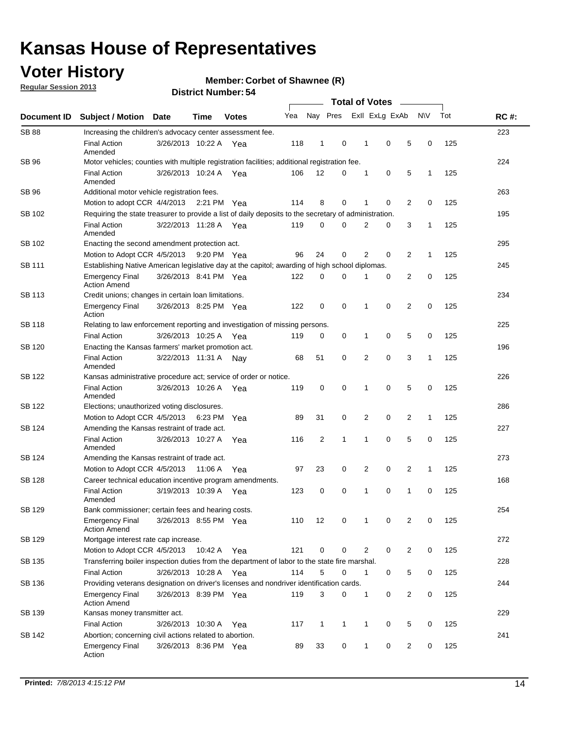## **Voter History**

**Regular Session 2013**

#### **Member: Corbet of Shawnee (R)**

| Document ID   |                                                                                                       |                                                                                 |         |              |     |                |             |                |             |                |              |     |             |  |  |  |  |  |  |  |  |  |
|---------------|-------------------------------------------------------------------------------------------------------|---------------------------------------------------------------------------------|---------|--------------|-----|----------------|-------------|----------------|-------------|----------------|--------------|-----|-------------|--|--|--|--|--|--|--|--|--|
|               | <b>Subject / Motion</b>                                                                               | <b>Date</b>                                                                     | Time    | <b>Votes</b> | Yea | Nay Pres       |             | Exll ExLg ExAb |             |                | N\V          | Tot | <b>RC#:</b> |  |  |  |  |  |  |  |  |  |
| <b>SB 88</b>  | Increasing the children's advocacy center assessment fee.                                             |                                                                                 |         |              |     |                |             |                |             |                |              |     | 223         |  |  |  |  |  |  |  |  |  |
|               | <b>Final Action</b><br>Amended                                                                        | 3/26/2013 10:22 A Yea                                                           |         |              | 118 | $\mathbf{1}$   | 0           | 1              | 0           | 5              | 0            | 125 |             |  |  |  |  |  |  |  |  |  |
| SB 96         | Motor vehicles; counties with multiple registration facilities; additional registration fee.          |                                                                                 |         |              |     |                |             |                |             |                |              |     | 224         |  |  |  |  |  |  |  |  |  |
|               | <b>Final Action</b><br>Amended                                                                        | 3/26/2013 10:24 A Yea                                                           |         |              | 106 | 12             | 0           | 1              | 0           | 5              | 1            | 125 |             |  |  |  |  |  |  |  |  |  |
| SB 96         | Additional motor vehicle registration fees.                                                           |                                                                                 |         |              |     |                |             |                |             |                |              |     | 263         |  |  |  |  |  |  |  |  |  |
|               | Motion to adopt CCR 4/4/2013 2:21 PM Yea                                                              |                                                                                 |         |              | 114 | 8              | $\mathbf 0$ | 1              | 0           | 2              | 0            | 125 |             |  |  |  |  |  |  |  |  |  |
| SB 102        | Requiring the state treasurer to provide a list of daily deposits to the secretary of administration. |                                                                                 |         |              |     |                |             |                |             |                |              |     | 195         |  |  |  |  |  |  |  |  |  |
|               | <b>Final Action</b><br>Amended                                                                        | 3/22/2013 11:28 A Yea                                                           |         |              | 119 | $\mathbf 0$    | 0           | 2              | 0           | 3              | 1            | 125 |             |  |  |  |  |  |  |  |  |  |
| SB 102        | Enacting the second amendment protection act.                                                         |                                                                                 |         |              |     |                |             |                |             |                |              |     |             |  |  |  |  |  |  |  |  |  |
|               | Motion to Adopt CCR 4/5/2013                                                                          |                                                                                 |         | 9:20 PM Yea  | 96  | 24             | 0           | 2              | 0           | 2              | 1            | 125 |             |  |  |  |  |  |  |  |  |  |
| SB 111        | Establishing Native American legislative day at the capitol; awarding of high school diplomas.        |                                                                                 |         |              |     |                |             |                |             |                |              |     |             |  |  |  |  |  |  |  |  |  |
|               | <b>Emergency Final</b><br><b>Action Amend</b>                                                         | 3/26/2013 8:41 PM Yea                                                           |         |              | 122 | 0              | 0           | 1              | 0           | 2              | 0            | 125 |             |  |  |  |  |  |  |  |  |  |
| <b>SB 113</b> | Credit unions; changes in certain loan limitations.                                                   |                                                                                 |         |              |     |                |             |                |             |                |              |     | 234         |  |  |  |  |  |  |  |  |  |
|               | <b>Emergency Final</b><br>Action                                                                      | 3/26/2013 8:25 PM Yea                                                           |         |              | 122 | 0              | 0           | 1              | 0           | 2              | 0            | 125 |             |  |  |  |  |  |  |  |  |  |
| SB 118        | Relating to law enforcement reporting and investigation of missing persons.                           |                                                                                 |         |              |     |                |             |                |             |                |              |     | 225         |  |  |  |  |  |  |  |  |  |
|               | <b>Final Action</b>                                                                                   | 3/26/2013 10:25 A Yea                                                           |         |              | 119 | 0              | 0           | 1              | 0           | 5              | 0            | 125 |             |  |  |  |  |  |  |  |  |  |
| SB 120        | Enacting the Kansas farmers' market promotion act.                                                    |                                                                                 |         |              |     |                |             |                |             |                |              |     | 196         |  |  |  |  |  |  |  |  |  |
|               | <b>Final Action</b><br>Amended                                                                        | 3/22/2013 11:31 A Nay                                                           |         |              | 68  | 51             | 0           | 2              | $\mathbf 0$ | 3              | 1            | 125 |             |  |  |  |  |  |  |  |  |  |
| SB 122        | Kansas administrative procedure act; service of order or notice.                                      |                                                                                 |         |              |     |                |             |                |             |                |              |     | 226         |  |  |  |  |  |  |  |  |  |
|               | <b>Final Action</b><br>Amended                                                                        | 3/26/2013 10:26 A Yea                                                           |         |              | 119 | 0              | $\mathbf 0$ | 1              | $\mathbf 0$ | 5              | 0            | 125 |             |  |  |  |  |  |  |  |  |  |
| SB 122        | Elections; unauthorized voting disclosures.                                                           |                                                                                 |         |              |     |                |             |                |             |                |              |     | 286         |  |  |  |  |  |  |  |  |  |
|               | Motion to Adopt CCR 4/5/2013                                                                          |                                                                                 |         | 6:23 PM Yea  | 89  | 31             | 0           | 2              | 0           | 2              | 1            | 125 |             |  |  |  |  |  |  |  |  |  |
| SB 124        | Amending the Kansas restraint of trade act.                                                           |                                                                                 |         |              |     |                |             |                |             |                |              |     | 227         |  |  |  |  |  |  |  |  |  |
|               | <b>Final Action</b><br>Amended                                                                        | 3/26/2013 10:27 A                                                               |         | Yea          | 116 | $\overline{c}$ | 1           | 1              | $\mathbf 0$ | 5              | 0            | 125 |             |  |  |  |  |  |  |  |  |  |
| SB 124        | Amending the Kansas restraint of trade act.                                                           |                                                                                 |         |              |     |                |             |                |             |                |              |     | 273         |  |  |  |  |  |  |  |  |  |
|               | Motion to Adopt CCR 4/5/2013                                                                          |                                                                                 | 11:06 A | Yea          | 97  | 23             | 0           | 2              | 0           | 2              | $\mathbf{1}$ | 125 |             |  |  |  |  |  |  |  |  |  |
| <b>SB 128</b> | Career technical education incentive program amendments.                                              |                                                                                 |         |              |     |                |             |                |             |                |              |     | 168         |  |  |  |  |  |  |  |  |  |
|               | <b>Final Action</b><br>Amended                                                                        | 3/19/2013 10:39 A                                                               |         | Yea          | 123 | 0              | 0           | 1              | 0           | 1              | 0            | 125 |             |  |  |  |  |  |  |  |  |  |
| <b>SB 129</b> | Bank commissioner; certain fees and hearing costs.                                                    |                                                                                 |         |              |     |                |             |                |             |                |              |     | 254         |  |  |  |  |  |  |  |  |  |
|               | <b>Emergency Final</b><br><b>Action Amend</b>                                                         | 3/26/2013 8:55 PM Yea                                                           |         |              | 110 | 12             | 0           | 1              | 0           | 2              | 0            | 125 |             |  |  |  |  |  |  |  |  |  |
| <b>SB 129</b> | Mortgage interest rate cap increase.                                                                  |                                                                                 |         |              |     |                |             |                |             |                |              |     | 272         |  |  |  |  |  |  |  |  |  |
|               | Motion to Adopt CCR 4/5/2013                                                                          |                                                                                 | 10:42 A | Yea          | 121 | 0              | 0           | 2              | 0           | $\overline{2}$ | 0            | 125 |             |  |  |  |  |  |  |  |  |  |
| SB 135        | Transferring boiler inspection duties from the department of labor to the state fire marshal.         |                                                                                 |         |              |     |                |             |                |             |                |              |     | 228         |  |  |  |  |  |  |  |  |  |
|               | <b>Final Action</b>                                                                                   | 3/26/2013 10:28 A Yea                                                           |         |              | 114 | 5              | 0           | 1              | 0           | 5              | 0            | 125 |             |  |  |  |  |  |  |  |  |  |
| SB 136        | Providing veterans designation on driver's licenses and nondriver identification cards.               |                                                                                 |         |              |     |                |             |                |             |                |              |     | 244         |  |  |  |  |  |  |  |  |  |
|               | Emergency Final<br><b>Action Amend</b>                                                                | 3/26/2013 8:39 PM Yea                                                           |         |              | 119 | 3              | 0           | 1              | 0           | 2              | 0            | 125 |             |  |  |  |  |  |  |  |  |  |
| SB 139        | Kansas money transmitter act.                                                                         |                                                                                 |         |              |     |                |             |                |             |                |              |     | 229         |  |  |  |  |  |  |  |  |  |
|               | <b>Final Action</b>                                                                                   | 117<br>0<br>5<br>0<br>125<br>3/26/2013 10:30 A<br>$\mathbf{1}$<br>1<br>1<br>Yea |         |              |     |                |             |                |             |                |              |     |             |  |  |  |  |  |  |  |  |  |
| SB 142        |                                                                                                       | 241<br>Abortion; concerning civil actions related to abortion.                  |         |              |     |                |             |                |             |                |              |     |             |  |  |  |  |  |  |  |  |  |
|               | <b>Emergency Final</b><br>Action                                                                      | 3/26/2013 8:36 PM Yea                                                           |         |              | 89  | 33             | 0           | 1              | 0           | 2              | 0            | 125 |             |  |  |  |  |  |  |  |  |  |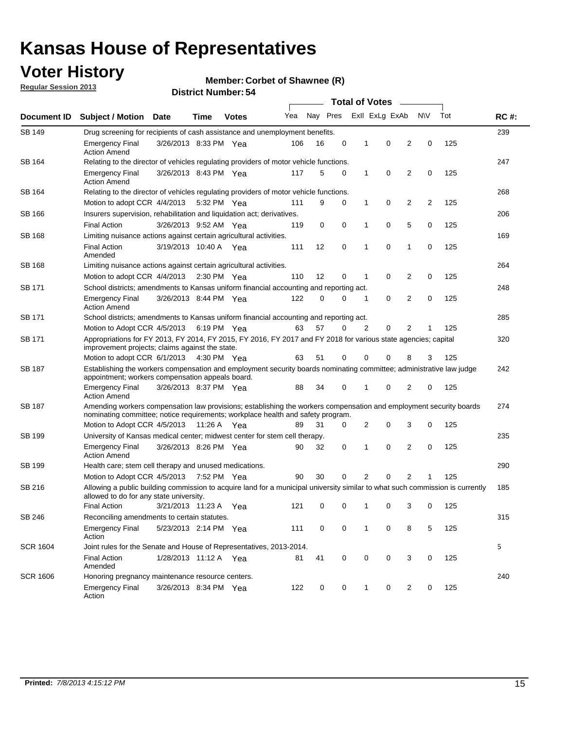## **Voter History**

**Member: Corbet of Shawnee (R)** 

**Regular Session 2013**

| Document ID     |                                                                                                                                                                                                       |                                                                                         |             |              | <b>Total of Votes</b><br>$\sim$ |          |   |   |                |                |           |     |             |
|-----------------|-------------------------------------------------------------------------------------------------------------------------------------------------------------------------------------------------------|-----------------------------------------------------------------------------------------|-------------|--------------|---------------------------------|----------|---|---|----------------|----------------|-----------|-----|-------------|
|                 | <b>Subject / Motion Date</b>                                                                                                                                                                          |                                                                                         | Time        | <b>Votes</b> | Yea                             | Nay Pres |   |   | Exll ExLg ExAb |                | <b>NV</b> | Tot | <b>RC#:</b> |
| <b>SB 149</b>   | 239<br>Drug screening for recipients of cash assistance and unemployment benefits.                                                                                                                    |                                                                                         |             |              |                                 |          |   |   |                |                |           |     |             |
|                 | <b>Emergency Final</b><br><b>Action Amend</b>                                                                                                                                                         | 3/26/2013 8:33 PM Yea                                                                   |             |              | 106                             | 16       | 0 | 1 | 0              | 2              | 0         | 125 |             |
| SB 164          | Relating to the director of vehicles regulating providers of motor vehicle functions.                                                                                                                 |                                                                                         |             |              |                                 |          |   |   |                |                |           |     | 247         |
|                 | <b>Emergency Final</b><br><b>Action Amend</b>                                                                                                                                                         | 3/26/2013 8:43 PM Yea                                                                   |             |              | 117                             | 5        | 0 | 1 | 0              | 2              | 0         | 125 |             |
| SB 164          | Relating to the director of vehicles regulating providers of motor vehicle functions.                                                                                                                 |                                                                                         |             |              |                                 |          |   |   |                |                |           |     | 268         |
|                 |                                                                                                                                                                                                       | 0<br>Motion to adopt CCR 4/4/2013<br>9<br>0<br>1<br>2<br>2<br>125<br>5:32 PM Yea<br>111 |             |              |                                 |          |   |   |                |                |           |     |             |
| SB 166          | Insurers supervision, rehabilitation and liquidation act; derivatives.                                                                                                                                |                                                                                         |             |              |                                 |          |   |   |                |                |           |     | 206         |
|                 | <b>Final Action</b>                                                                                                                                                                                   | 3/26/2013 9:52 AM Yea                                                                   |             |              | 119                             | 0        | 0 | 1 | 0              | 5              | 0         | 125 |             |
| SB 168          | Limiting nuisance actions against certain agricultural activities.                                                                                                                                    |                                                                                         |             |              |                                 |          |   |   |                |                |           |     | 169         |
|                 | <b>Final Action</b><br>Amended                                                                                                                                                                        | 3/19/2013 10:40 A Yea                                                                   |             |              | 111                             | 12       | 0 | 1 | 0              | 1              | 0         | 125 |             |
| SB 168          | Limiting nuisance actions against certain agricultural activities.                                                                                                                                    |                                                                                         |             |              |                                 |          |   |   |                |                |           |     | 264         |
|                 | Motion to adopt CCR 4/4/2013                                                                                                                                                                          |                                                                                         |             | 2:30 PM Yea  | 110                             | 12       | 0 | 1 | 0              | 2              | 0         | 125 |             |
| <b>SB 171</b>   | School districts; amendments to Kansas uniform financial accounting and reporting act.                                                                                                                |                                                                                         |             |              |                                 |          |   |   |                |                |           |     | 248         |
|                 | <b>Emergency Final</b><br><b>Action Amend</b>                                                                                                                                                         | 3/26/2013 8:44 PM Yea                                                                   |             |              | 122                             | 0        | 0 | 1 | 0              | 2              | 0         | 125 |             |
| SB 171          |                                                                                                                                                                                                       | School districts; amendments to Kansas uniform financial accounting and reporting act.  |             |              |                                 |          |   |   |                |                |           |     | 285         |
|                 | Motion to Adopt CCR 4/5/2013                                                                                                                                                                          |                                                                                         | 6:19 PM Yea |              | 63                              | 57       | 0 | 2 | 0              | 2              |           | 125 |             |
| SB 171          | Appropriations for FY 2013, FY 2014, FY 2015, FY 2016, FY 2017 and FY 2018 for various state agencies; capital<br>improvement projects; claims against the state.                                     |                                                                                         |             |              |                                 |          |   |   |                |                | 320       |     |             |
|                 | Motion to adopt CCR 6/1/2013 4:30 PM Yea                                                                                                                                                              |                                                                                         |             |              | 63                              | 51       | 0 | 0 | 0              | 8              | 3         | 125 |             |
| SB 187          | Establishing the workers compensation and employment security boards nominating committee; administrative law judge<br>appointment; workers compensation appeals board.                               |                                                                                         |             |              |                                 |          |   |   |                |                |           |     | 242         |
|                 | <b>Emergency Final</b><br><b>Action Amend</b>                                                                                                                                                         | 3/26/2013 8:37 PM Yea                                                                   |             |              | 88                              | 34       | 0 | 1 | 0              | 2              | 0         | 125 |             |
| SB 187          | Amending workers compensation law provisions; establishing the workers compensation and employment security boards<br>nominating committee; notice requirements; workplace health and safety program. |                                                                                         |             |              |                                 |          |   |   |                |                |           |     | 274         |
|                 | Motion to Adopt CCR 4/5/2013 11:26 A Yea                                                                                                                                                              |                                                                                         |             |              | 89                              | 31       | 0 | 2 | 0              | 3              | 0         | 125 |             |
| SB 199          | University of Kansas medical center; midwest center for stem cell therapy.                                                                                                                            |                                                                                         |             |              |                                 |          |   |   |                |                |           |     | 235         |
|                 | <b>Emergency Final</b><br><b>Action Amend</b>                                                                                                                                                         | 3/26/2013 8:26 PM Yea                                                                   |             |              | 90                              | 32       | 0 | 1 | 0              | 2              | 0         | 125 |             |
| SB 199          | Health care; stem cell therapy and unused medications.                                                                                                                                                |                                                                                         |             |              |                                 |          |   |   |                |                |           |     | 290         |
|                 | Motion to Adopt CCR 4/5/2013                                                                                                                                                                          |                                                                                         | 7:52 PM Yea |              | 90                              | 30       | 0 | 2 | 0              | $\overline{2}$ | 1         | 125 |             |
| SB 216          | Allowing a public building commission to acquire land for a municipal university similar to what such commission is currently<br>allowed to do for any state university.                              |                                                                                         |             |              |                                 |          |   |   |                |                |           |     | 185         |
|                 | <b>Final Action</b>                                                                                                                                                                                   | 3/21/2013 11:23 A Yea                                                                   |             |              | 121                             | 0        | 0 | 1 | 0              | 3              | 0         | 125 |             |
| SB 246          | Reconciling amendments to certain statutes.                                                                                                                                                           |                                                                                         |             |              |                                 |          |   |   |                |                |           |     | 315         |
|                 | <b>Emergency Final</b><br>Action                                                                                                                                                                      | 5/23/2013 2:14 PM Yea                                                                   |             |              | 111                             | 0        | 0 | 1 | 0              | 8              | 5         | 125 |             |
| <b>SCR 1604</b> | Joint rules for the Senate and House of Representatives, 2013-2014.                                                                                                                                   |                                                                                         |             |              |                                 |          |   |   |                |                |           |     | 5           |
|                 | <b>Final Action</b><br>Amended                                                                                                                                                                        | 1/28/2013 11:12 A Yea                                                                   |             |              | 81                              | 41       | 0 | 0 | 0              | 3              | 0         | 125 |             |
| <b>SCR 1606</b> | Honoring pregnancy maintenance resource centers.                                                                                                                                                      |                                                                                         |             |              |                                 |          |   |   |                |                |           |     | 240         |
|                 | <b>Emergency Final</b><br>Action                                                                                                                                                                      | 3/26/2013 8:34 PM Yea                                                                   |             |              | 122                             | 0        | 0 | 1 | 0              | 2              | 0         | 125 |             |